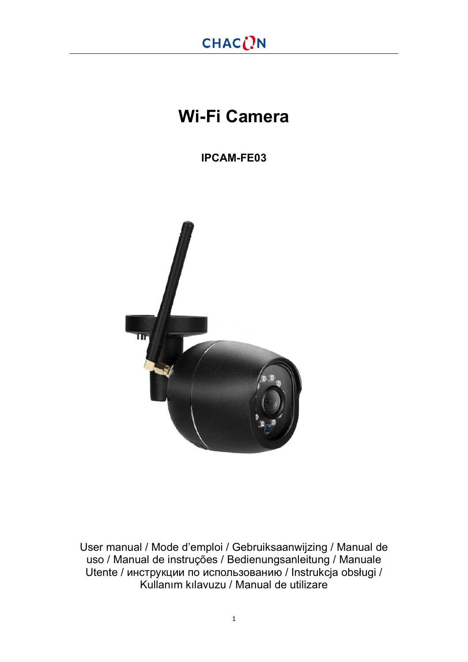# **Wi-Fi Camera**

**IPCAM-FE03**



User manual / Mode d'emploi / Gebruiksaanwijzing / Manual de uso / Manual de instruções / Bedienungsanleitung / Manuale Utente / инструкции по использованию / Instrukcja obsługi / Kullanım kılavuzu / Manual de utilizare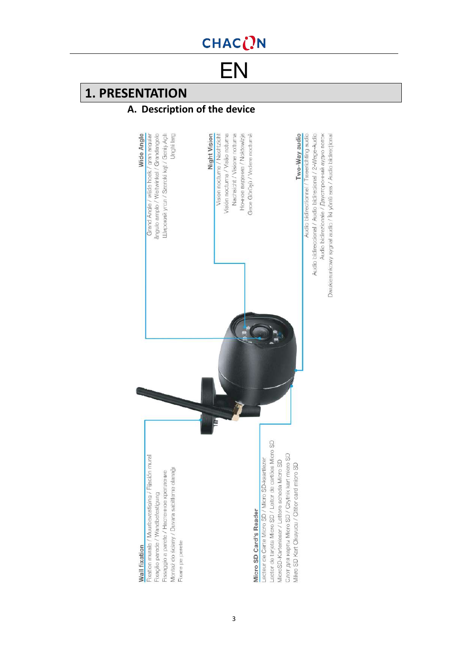<span id="page-2-0"></span>[EN](#page-72-0)

## **1. PRESENTATION**

### **A. Description of the device**

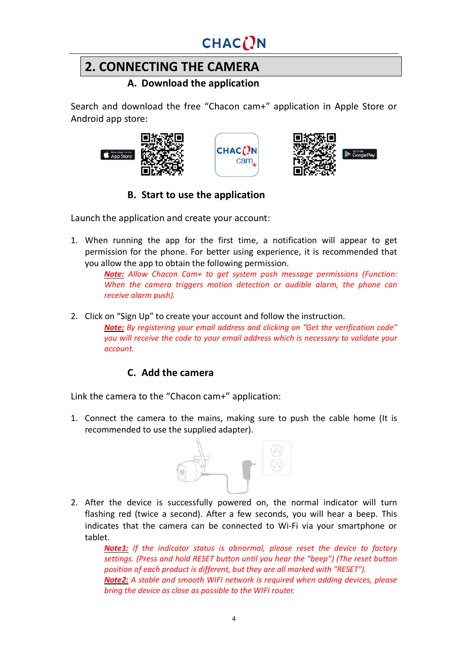## **2. CONNECTING THE CAMERA**

**A. Download the application**

Search and download the free "Chacon cam+" application in Apple Store or Android app store:







### **B. Start to use the application**

Launch the application and create your account:

1. When running the app for the first time, a notification will appear to get permission for the phone. For better using experience, it is recommended that you allow the app to obtain the following permission.

> *Note: Allow Chacon Cam+ to get system push message permissions (Function: When the camera triggers motion detection or audible alarm, the phone can receive alarm push).*

2. Click on "Sign Up" to create your account and follow the instruction. *Note: By registering your email address and clicking on "Get the verification code" you will receive the code to your email address which is necessary to validate your account.*

### **C. Add the camera**

Link the camera to the "Chacon cam+" application:

1. Connect the camera to the mains, making sure to push the cable home (It is recommended to use the supplied adapter).



2. After the device is successfully powered on, the normal indicator will turn flashing red (twice a second). After a few seconds, you will hear a beep. This indicates that the camera can be connected to Wi-Fi via your smartphone or tablet.

*Note1: If the indicator status is abnormal, please reset the device to factory settings. (Press and hold RESET button until you hear the "beep") (The reset button position of each product is different, but they are all marked with "RESET"). Note2: A stable and smooth WIFI network is required when adding devices, please bring the device as close as possible to the WIFI router.*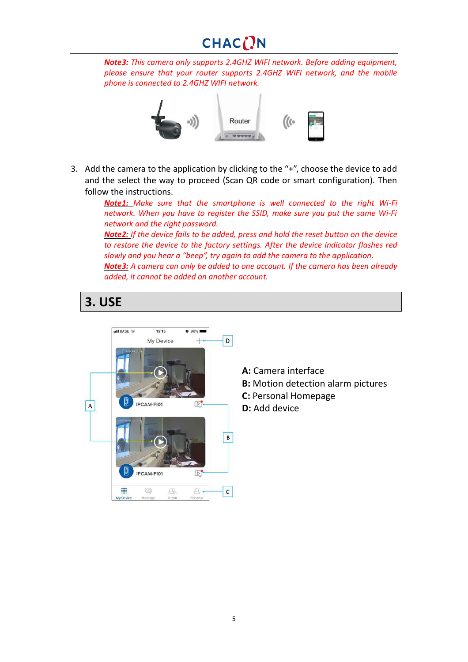# CHACON

*Note3: This camera only supports 2.4GHZ WIFI network. Before adding equipment, please ensure that your router supports 2.4GHZ WIFI network, and the mobile phone is connected to 2.4GHZ WIFI network.*



3. Add the camera to the application by clicking to the "+", choose the device to add and the select the way to proceed (Scan QR code or smart configuration). Then follow the instructions.

> *Note1: Make sure that the smartphone is well connected to the right Wi-Fi network. When you have to register the SSID, make sure you put the same Wi-Fi network and the right password.*

> *Note2: If the device fails to be added, press and hold the reset button on the device to restore the device to the factory settings. After the device indicator flashes red slowly and you hear a "beep", try again to add the camera to the application. Note3: A camera can only be added to one account. If the camera has been already added, it cannot be added on another account.*

### **3. USE**



- **A:** Camera interface
- **B:** Motion detection alarm pictures
- **C:** Personal Homepage
- **D:** Add device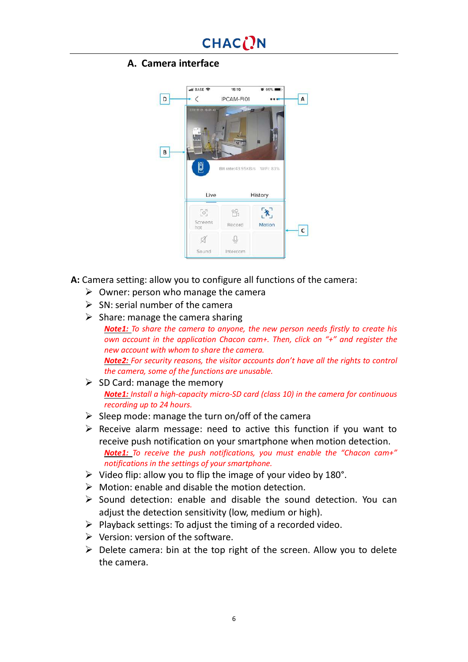#### **A. Camera interface**



**A:** Camera setting: allow you to configure all functions of the camera:

- $\triangleright$  Owner: person who manage the camera
- $\triangleright$  SN: serial number of the camera
- $\triangleright$  Share: manage the camera sharing
	- *Note1: To share the camera to anyone, the new person needs firstly to create his own account in the application Chacon cam+. Then, click on "+" and register the new account with whom to share the camera. Note2: For security reasons, the visitor accounts don't have all the rights to control the camera, some of the functions are unusable.*
- $\triangleright$  SD Card: manage the memory *Note1: Install a high-capacity micro-SD card (class 10) in the camera for continuous recording up to 24 hours.*
- $\triangleright$  Sleep mode: manage the turn on/off of the camera
- $\triangleright$  Receive alarm message: need to active this function if you want to receive push notification on your smartphone when motion detection. *Note1: To receive the push notifications, you must enable the "Chacon cam+" notifications in the settings of your smartphone.*
- $\triangleright$  Video flip: allow you to flip the image of your video by 180°.
- $\triangleright$  Motion: enable and disable the motion detection.
- $\triangleright$  Sound detection: enable and disable the sound detection. You can adjust the detection sensitivity (low, medium or high).
- $\triangleright$  Playback settings: To adjust the timing of a recorded video.
- $\triangleright$  Version: version of the software.
- $\triangleright$  Delete camera: bin at the top right of the screen. Allow you to delete the camera.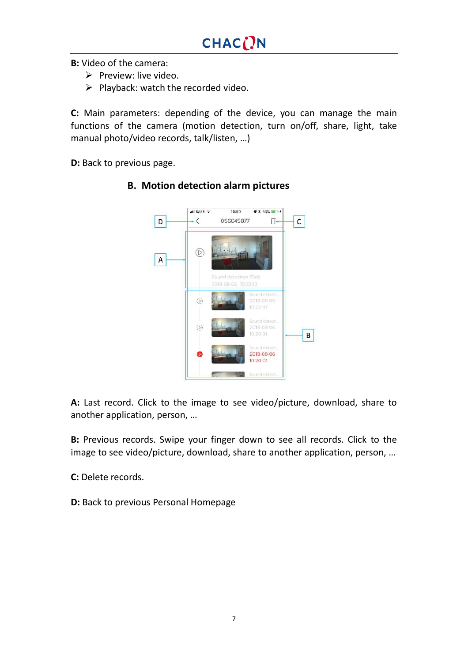**B:** Video of the camera:

- $\triangleright$  Preview: live video.
- $\triangleright$  Playback: watch the recorded video.

**C:** Main parameters: depending of the device, you can manage the main functions of the camera (motion detection, turn on/off, share, light, take manual photo/video records, talk/listen, …)

**D:** Back to previous page.



**B. Motion detection alarm pictures**

**A:** Last record. Click to the image to see video/picture, download, share to another application, person, …

**B:** Previous records. Swipe your finger down to see all records. Click to the image to see video/picture, download, share to another application, person, …

**C:** Delete records.

**D:** Back to previous Personal Homepage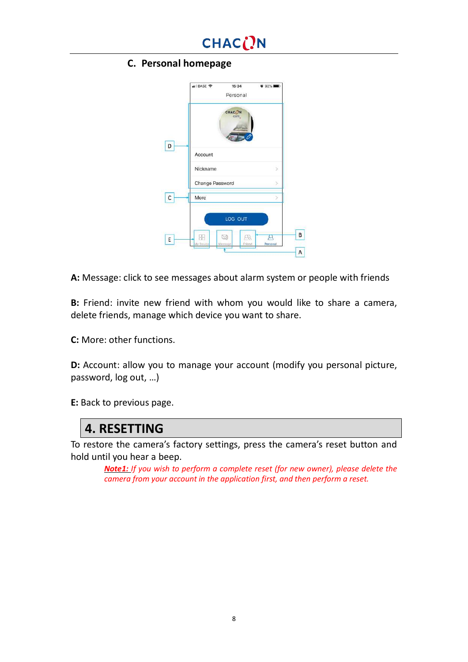#### **C. Personal homepage**

|    | .II BASE 중<br>15:34<br>Personal | 0.92%                         |
|----|---------------------------------|-------------------------------|
|    | CHAC <sub>(</sub> )N<br>cam.    |                               |
| D  | Account                         |                               |
|    | Nickname                        |                               |
|    | Change Password                 |                               |
| с  | More                            |                               |
|    | LOG OUT                         |                               |
| E. | g<br>My Device<br>Meesage       | Æ,<br>ц<br>Personal<br>Friend |
|    |                                 |                               |

**A:** Message: click to see messages about alarm system or people with friends

**B:** Friend: invite new friend with whom you would like to share a camera, delete friends, manage which device you want to share.

**C:** More: other functions.

**D:** Account: allow you to manage your account (modify you personal picture, password, log out, …)

**E:** Back to previous page.

### **4. RESETTING**

To restore the camera's factory settings, press the camera's reset button and hold until you hear a beep.

*Note1: If you wish to perform a complete reset (for new owner), please delete the camera from your account in the application first, and then perform a reset.*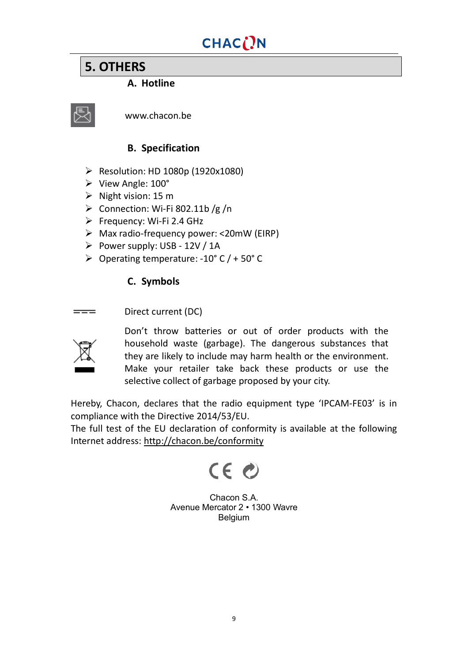## **5. OTHERS**

#### **A. Hotline**



www.chacon.be

#### **B. Specification**

- Ø Resolution: HD 1080p (1920x1080)
- Ø View Angle: 100°
- $\triangleright$  Night vision: 15 m
- $\triangleright$  Connection: Wi-Fi 802.11b /g /n
- $\triangleright$  Frequency: Wi-Fi 2.4 GHz
- $\triangleright$  Max radio-frequency power: <20mW (EIRP)
- $\triangleright$  Power supply: USB 12V / 1A
- $\geq$  Operating temperature: -10° C / + 50° C

### **C. Symbols**

Direct current (DC)  $=$ 



Don't throw batteries or out of order products with the household waste (garbage). The dangerous substances that they are likely to include may harm health or the environment. Make your retailer take back these products or use the selective collect of garbage proposed by your city.

Hereby, Chacon, declares that the radio equipment type 'IPCAM-FE03' is in compliance with the Directive 2014/53/EU.

The full test of the EU declaration of conformity is available at the following Internet address: <http://chacon.be/conformity>



Chacon S.A. Avenue Mercator 2 • 1300 Wavre Belgium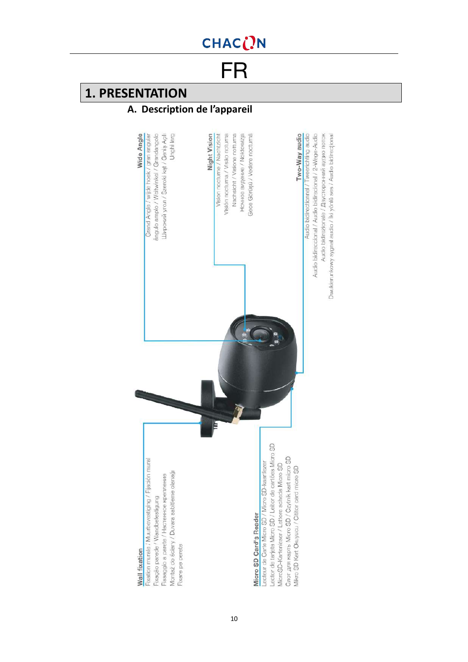<span id="page-9-0"></span>FR

## **1. PRESENTATION**

### **A. Description de l'appareil**

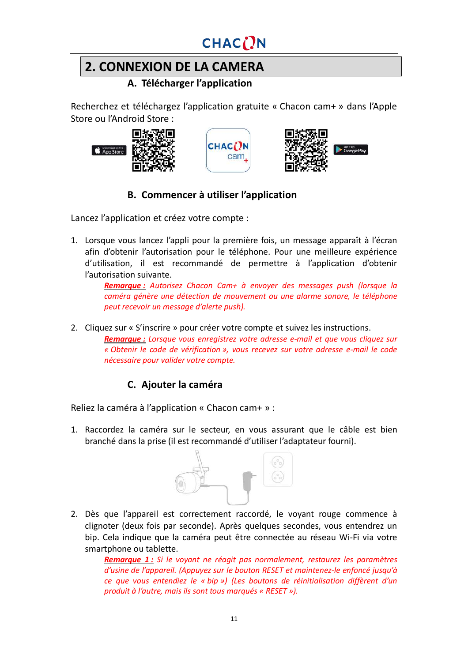## **2. CONNEXION DE LA CAMERA**

### **A. Télécharger l'application**

Recherchez et téléchargez l'application gratuite « Chacon cam+ » dans l'Apple Store ou l'Android Store :







#### **B. Commencer à utiliser l'application**

Lancez l'application et créez votre compte :

1. Lorsque vous lancez l'appli pour la première fois, un message apparaît à l'écran afin d'obtenir l'autorisation pour le téléphone. Pour une meilleure expérience d'utilisation, il est recommandé de permettre à l'application d'obtenir l'autorisation suivante.

*Remarque : Autorisez Chacon Cam+ à envoyer des messages push (lorsque la caméra génère une détection de mouvement ou une alarme sonore, le téléphone peut recevoir un message d'alerte push).*

2. Cliquez sur « S'inscrire » pour créer votre compte et suivez les instructions.

*Remarque : Lorsque vous enregistrez votre adresse e-mail et que vous cliquez sur « Obtenir le code de vérification », vous recevez sur votre adresse e-mail le code nécessaire pour valider votre compte.*

### **C. Ajouter la caméra**

Reliez la caméra à l'application « Chacon cam+ » :

1. Raccordez la caméra sur le secteur, en vous assurant que le câble est bien branché dans la prise (il est recommandé d'utiliser l'adaptateur fourni).



2. Dès que l'appareil est correctement raccordé, le voyant rouge commence à clignoter (deux fois par seconde). Après quelques secondes, vous entendrez un bip. Cela indique que la caméra peut être connectée au réseau Wi-Fi via votre smartphone ou tablette.

*Remarque 1 : Si le voyant ne réagit pas normalement, restaurez les paramètres d'usine de l'appareil. (Appuyez sur le bouton RESET et maintenez-le enfoncé jusqu'à ce que vous entendiez le « bip ») (Les boutons de réinitialisation diffèrent d'un produit à l'autre, mais ils sont tous marqués « RESET »).*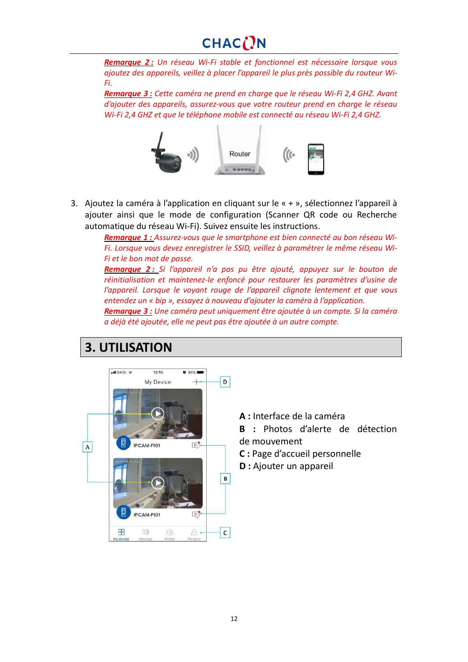*Remarque 2 : Un réseau Wi-Fi stable et fonctionnel est nécessaire lorsque vous ajoutez des appareils, veillez à placer l'appareil le plus près possible du routeur Wi-Fi.*

*Remarque 3 : Cette caméra ne prend en charge que le réseau Wi-Fi 2,4 GHZ. Avant d'ajouter des appareils, assurez-vous que votre routeur prend en charge le réseau Wi-Fi 2,4 GHZ et que le téléphone mobile est connecté au réseau Wi-Fi 2,4 GHZ.*



3. Ajoutez la caméra à l'application en cliquant sur le « + », sélectionnez l'appareil à ajouter ainsi que le mode de configuration (Scanner QR code ou Recherche automatique du réseau Wi-Fi). Suivez ensuite les instructions.

> *Remarque 1 : Assurez-vous que le smartphone est bien connecté au bon réseau Wi-Fi. Lorsque vous devez enregistrer le SSID, veillez à paramétrer le même réseau Wi-Fi et le bon mot de passe.*

> *Remarque 2 : Si l'appareil n'a pas pu être ajouté, appuyez sur le bouton de réinitialisation et maintenez-le enfoncé pour restaurer les paramètres d'usine de l'appareil. Lorsque le voyant rouge de l'appareil clignote lentement et que vous entendez un « bip », essayez à nouveau d'ajouter la caméra à l'application.*

> *Remarque 3 : Une caméra peut uniquement être ajoutée à un compte. Si la caméra a déjà été ajoutée, elle ne peut pas être ajoutée à un autre compte.*

## **3. UTILISATION**



**A :** Interface de la caméra

**B :** Photos d'alerte de détection de mouvement

- **C :** Page d'accueil personnelle
- **D :** Ajouter un appareil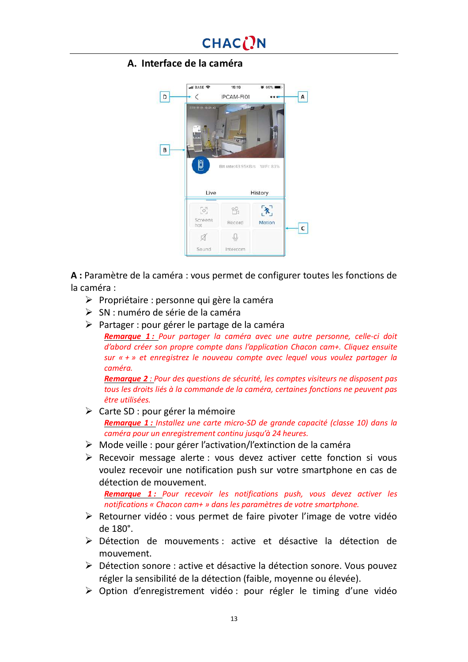#### **A. Interface de la caméra**



**A :** Paramètre de la caméra : vous permet de configurer toutes les fonctions de la caméra :

- $\triangleright$  Propriétaire : personne qui gère la caméra
- Ø SN : numéro de série de la caméra
- Ø Partager : pour gérer le partage de la caméra

*Remarque 1 : Pour partager la caméra avec une autre personne, celle-ci doit d'abord créer son propre compte dans l'application Chacon cam+. Cliquez ensuite sur « + » et enregistrez le nouveau compte avec lequel vous voulez partager la caméra.*

*Remarque 2 : Pour des questions de sécurité, les comptes visiteurs ne disposent pas tous les droits liés à la commande de la caméra, certaines fonctions ne peuvent pas être utilisées.*

- $\triangleright$  Carte SD : pour gérer la mémoire *Remarque 1 : Installez une carte micro-SD de grande capacité (classe 10) dans la caméra pour un enregistrement continu jusqu'à 24 heures.*
- $\triangleright$  Mode veille : pour gérer l'activation/l'extinction de la caméra
- $\triangleright$  Recevoir message alerte : vous devez activer cette fonction si vous voulez recevoir une notification push sur votre smartphone en cas de détection de mouvement.

*Remarque 1 : Pour recevoir les notifications push, vous devez activer les notifications « Chacon cam+ » dans les paramètres de votre smartphone.*

- $\triangleright$  Retourner vidéo : vous permet de faire pivoter l'image de votre vidéo de 180°.
- Ø Détection de mouvements : active et désactive la détection de mouvement.
- Ø Détection sonore : active et désactive la détection sonore. Vous pouvez régler la sensibilité de la détection (faible, moyenne ou élevée).
- $\triangleright$  Option d'enregistrement vidéo : pour régler le timing d'une vidéo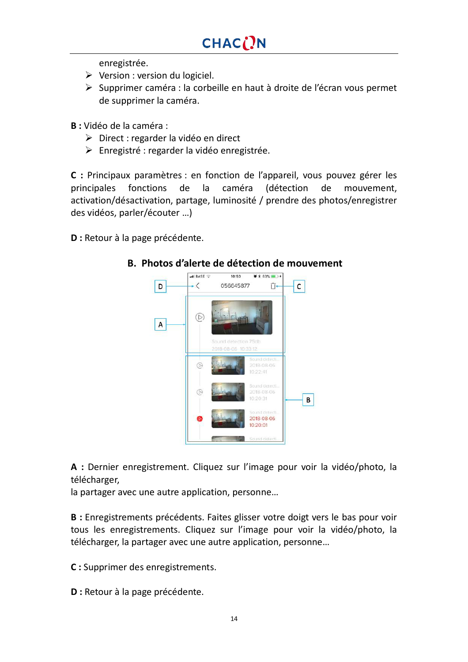enregistrée.

- $\triangleright$  Version : version du logiciel.
- Ø Supprimer caméra : la corbeille en haut à droite de l'écran vous permet de supprimer la caméra.

**B :** Vidéo de la caméra :

- Ø Direct : regarder la vidéo en direct
- Ø Enregistré : regarder la vidéo enregistrée.

**C :** Principaux paramètres : en fonction de l'appareil, vous pouvez gérer les principales fonctions de la caméra (détection de mouvement, activation/désactivation, partage, luminosité / prendre des photos/enregistrer des vidéos, parler/écouter …)

**D :** Retour à la page précédente.



#### **B. Photos d'alerte de détection de mouvement**

**A :** Dernier enregistrement. Cliquez sur l'image pour voir la vidéo/photo, la télécharger,

la partager avec une autre application, personne…

**B :** Enregistrements précédents. Faites glisser votre doigt vers le bas pour voir tous les enregistrements. Cliquez sur l'image pour voir la vidéo/photo, la télécharger, la partager avec une autre application, personne…

**C :** Supprimer des enregistrements.

**D :** Retour à la page précédente.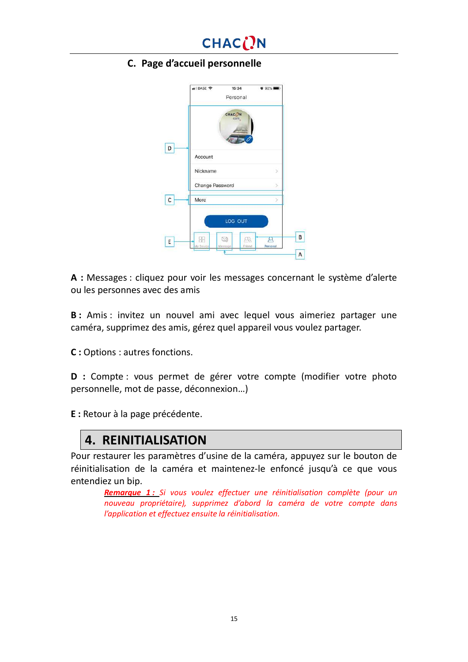

#### **C. Page d'accueil personnelle**

|    | .II BASE 수<br>15:34<br>Personal | $092\%$                 |   |
|----|---------------------------------|-------------------------|---|
|    | CHAC <sub>(</sub> )N<br>cam.    |                         |   |
| D  | Account                         |                         |   |
|    | Nickname                        |                         |   |
|    | Change Password                 |                         |   |
| с  | More                            |                         |   |
|    | LOG OUT                         |                         |   |
| E. | 립<br>My Device<br>Meesage       | m<br>Personal<br>Friend | В |
|    |                                 |                         | A |

**A :** Messages : cliquez pour voir les messages concernant le système d'alerte ou les personnes avec des amis

**B** : Amis : invitez un nouvel ami avec lequel vous aimeriez partager une caméra, supprimez des amis, gérez quel appareil vous voulez partager.

**C :** Options : autres fonctions.

**D :** Compte : vous permet de gérer votre compte (modifier votre photo personnelle, mot de passe, déconnexion…)

**E :** Retour à la page précédente.

### **4. REINITIALISATION**

Pour restaurer les paramètres d'usine de la caméra, appuyez sur le bouton de réinitialisation de la caméra et maintenez-le enfoncé jusqu'à ce que vous entendiez un bip.

*Remarque 1 : Si vous voulez effectuer une réinitialisation complète (pour un nouveau propriétaire), supprimez d'abord la caméra de votre compte dans l'application et effectuez ensuite la réinitialisation.*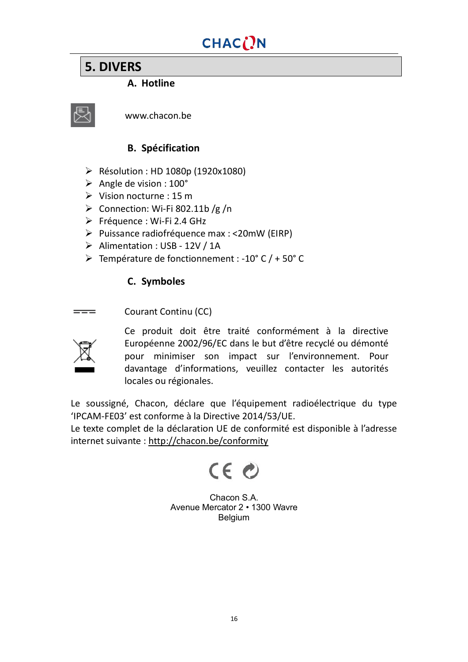## **5. DIVERS**

#### **A. Hotline**



www.chacon.be

#### **B. Spécification**

- Ø Résolution : HD 1080p (1920x1080)
- $\triangleright$  Angle de vision : 100 $^{\circ}$
- $\triangleright$  Vision nocturne : 15 m
- $\triangleright$  Connection: Wi-Fi 802.11b /g /n
- Ø Fréquence : Wi-Fi 2.4 GHz
- Ø Puissance radiofréquence max : <20mW (EIRP)
- Ø Alimentation : USB 12V / 1A
- $\triangleright$  Température de fonctionnement : -10° C / + 50° C

#### **C. Symboles**

Courant Continu (CC)  $=$ 



Ce produit doit être traité conformément à la directive Européenne 2002/96/EC dans le but d'être recyclé ou démonté pour minimiser son impact sur l'environnement. Pour davantage d'informations, veuillez contacter les autorités locales ou régionales.

Le soussigné, Chacon, déclare que l'équipement radioélectrique du type 'IPCAM-FE03' est conforme à la Directive 2014/53/UE.

Le texte complet de la déclaration UE de conformité est disponible à l'adresse internet suivante : <http://chacon.be/conformity>



Chacon S.A. Avenue Mercator 2 • 1300 Wavre Belgium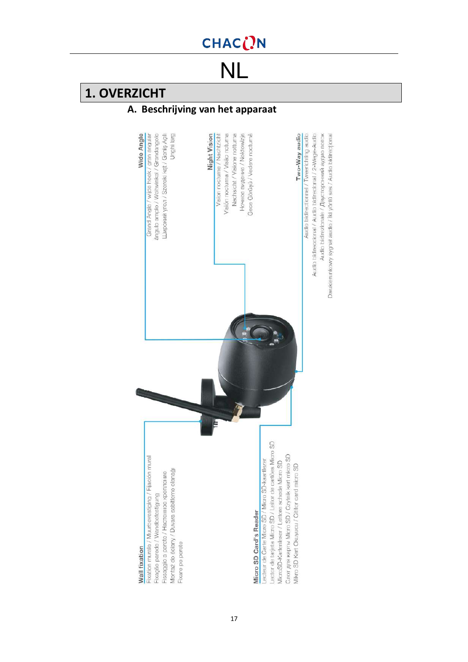<span id="page-16-0"></span>NL

## **1. OVERZICHT**

### **A. Beschrijving van het apparaat**

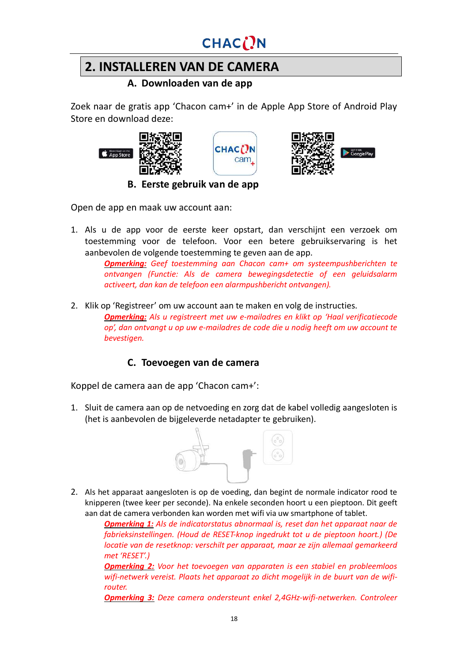

## **2. INSTALLEREN VAN DE CAMERA**

**A. Downloaden van de app**

Zoek naar de gratis app 'Chacon cam+' in de Apple App Store of Android Play Store en download deze:







**B. Eerste gebruik van de app**

Open de app en maak uw account aan:

1. Als u de app voor de eerste keer opstart, dan verschijnt een verzoek om toestemming voor de telefoon. Voor een betere gebruikservaring is het aanbevolen de volgende toestemming te geven aan de app.

*Opmerking: Geef toestemming aan Chacon cam+ om systeempushberichten te ontvangen (Functie: Als de camera bewegingsdetectie of een geluidsalarm activeert, dan kan de telefoon een alarmpushbericht ontvangen).*

2. Klik op 'Registreer' om uw account aan te maken en volg de instructies.

*Opmerking: Als u registreert met uw e-mailadres en klikt op 'Haal verificatiecode op', dan ontvangt u op uw e-mailadres de code die u nodig heeft om uw account te bevestigen.*

#### **C. Toevoegen van de camera**

Koppel de camera aan de app 'Chacon cam+':

1. Sluit de camera aan op de netvoeding en zorg dat de kabel volledig aangesloten is (het is aanbevolen de bijgeleverde netadapter te gebruiken).



2. Als het apparaat aangesloten is op de voeding, dan begint de normale indicator rood te knipperen (twee keer per seconde). Na enkele seconden hoort u een pieptoon. Dit geeft aan dat de camera verbonden kan worden met wifi via uw smartphone of tablet.

> *Opmerking 1: Als de indicatorstatus abnormaal is, reset dan het apparaat naar de fabrieksinstellingen. (Houd de RESET-knop ingedrukt tot u de pieptoon hoort.) (De locatie van de resetknop: verschilt per apparaat, maar ze zijn allemaal gemarkeerd met 'RESET'.)*

> *Opmerking 2: Voor het toevoegen van apparaten is een stabiel en probleemloos wifi-netwerk vereist. Plaats het apparaat zo dicht mogelijk in de buurt van de wifirouter.*

> *Opmerking 3: Deze camera ondersteunt enkel 2,4GHz-wifi-netwerken. Controleer*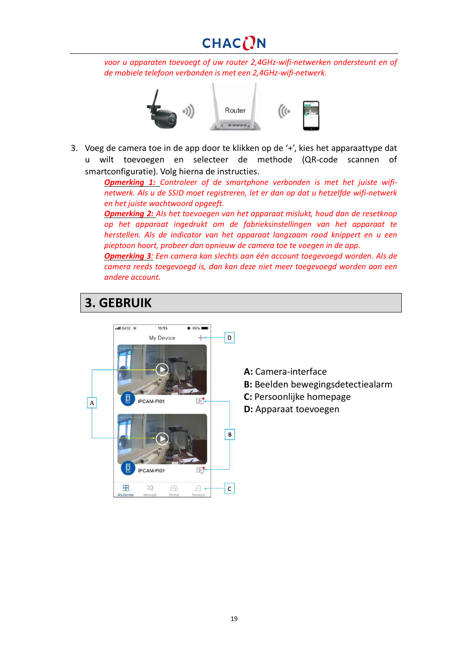# CHACON

*voor u apparaten toevoegt of uw router 2,4GHz-wifi-netwerken ondersteunt en of de mobiele telefoon verbonden is met een 2,4GHz-wifi-netwerk.*



3. Voeg de camera toe in de app door te klikken op de '+', kies het apparaattype dat u wilt toevoegen en selecteer de methode (QR-code scannen of smartconfiguratie). Volg hierna de instructies.

*Opmerking 1: Controleer of de smartphone verbonden is met het juiste wifinetwerk. Als u de SSID moet registreren, let er dan op dat u hetzelfde wifi-netwerk en het juiste wachtwoord opgeeft.*

*Opmerking 2: Als het toevoegen van het apparaat mislukt, houd dan de resetknop op het apparaat ingedrukt om de fabrieksinstellingen van het apparaat te herstellen. Als de indicator van het apparaat langzaam rood knippert en u een pieptoon hoort, probeer dan opnieuw de camera toe te voegen in de app.*

*Opmerking 3: Een camera kan slechts aan één account toegevoegd worden. Als de camera reeds toegevoegd is, dan kan deze niet meer toegevoegd worden aan een andere account.*

#### **3. GEBRUIK** ull BASE 15:15  $8.96%$ D My Device  $^{+}$ IPCAM-FI01  $\mathbb{D}$ . A  $\overline{B}$ IPCAM-FI01  $D$ 噐 S  $R$  $\mathsf{C}$  $8 -$

- **A:** Camera-interface
- **B:** Beelden bewegingsdetectiealarm
- **C:** Persoonlijke homepage
- **D:** Apparaat toevoegen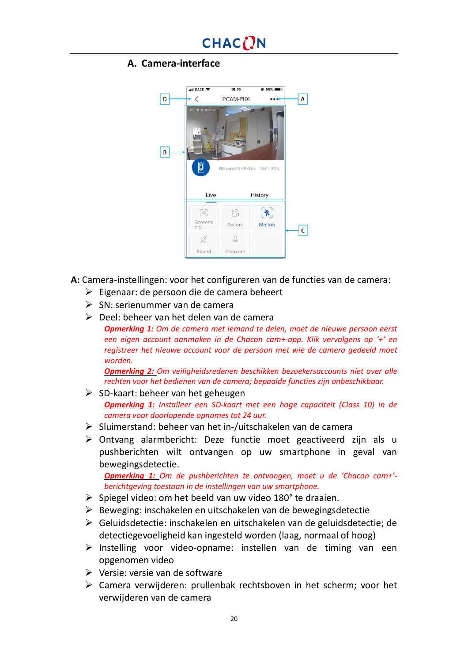#### **A. Camera-interface**



**A:** Camera-instellingen: voor het configureren van de functies van de camera:

- $\triangleright$  Eigenaar: de persoon die de camera beheert
- $\triangleright$  SN: serienummer van de camera
- $\triangleright$  Deel: beheer van het delen van de camera

*Opmerking 1: Om de camera met iemand te delen, moet de nieuwe persoon eerst een eigen account aanmaken in de Chacon cam+-app. Klik vervolgens op '+' en registreer het nieuwe account voor de persoon met wie de camera gedeeld moet worden.*

*Opmerking 2: Om veiligheidsredenen beschikken bezoekersaccounts niet over alle rechten voor het bedienen van de camera; bepaalde functies zijn onbeschikbaar.*

- $\triangleright$  SD-kaart: beheer van het geheugen *Opmerking 1: Installeer een SD-kaart met een hoge capaciteit (Class 10) in de camera voor doorlopende opnames tot 24 uur.*
- $\triangleright$  Sluimerstand: beheer van het in-/uitschakelen van de camera
- $\triangleright$  Ontvang alarmbericht: Deze functie moet geactiveerd zijn als u pushberichten wilt ontvangen op uw smartphone in geval van bewegingsdetectie.

*Opmerking 1: Om de pushberichten te ontvangen, moet u de 'Chacon cam+' berichtgeving toestaan in de instellingen van uw smartphone.*

- $\triangleright$  Spiegel video: om het beeld van uw video 180° te draaien.
- $\triangleright$  Beweging: inschakelen en uitschakelen van de bewegingsdetectie
- Ø Geluidsdetectie: inschakelen en uitschakelen van de geluidsdetectie; de detectiegevoeligheid kan ingesteld worden (laag, normaal of hoog)
- $\triangleright$  Instelling voor video-opname: instellen van de timing van een opgenomen video
- $\triangleright$  Versie: versie van de software
- $\triangleright$  Camera verwijderen: prullenbak rechtsboven in het scherm; voor het verwijderen van de camera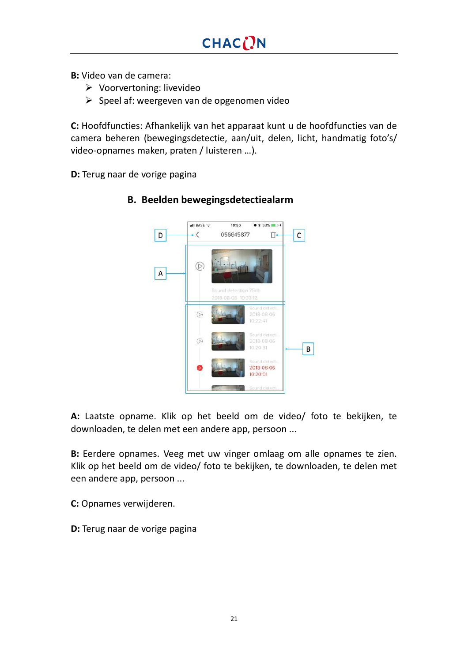**B:** Video van de camera:

- $\triangleright$  Voorvertoning: livevideo
- $\triangleright$  Speel af: weergeven van de opgenomen video

**C:** Hoofdfuncties: Afhankelijk van het apparaat kunt u de hoofdfuncties van de camera beheren (bewegingsdetectie, aan/uit, delen, licht, handmatig foto's/ video-opnames maken, praten / luisteren …).

**D:** Terug naar de vorige pagina



#### **B. Beelden bewegingsdetectiealarm**

**A:** Laatste opname. Klik op het beeld om de video/ foto te bekijken, te downloaden, te delen met een andere app, persoon ...

**B:** Eerdere opnames. Veeg met uw vinger omlaag om alle opnames te zien. Klik op het beeld om de video/ foto te bekijken, te downloaden, te delen met een andere app, persoon ...

**C:** Opnames verwijderen.

**D:** Terug naar de vorige pagina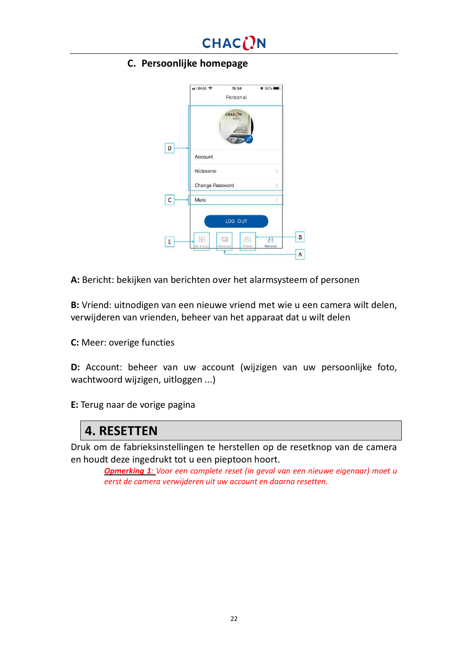

#### **C. Persoonlijke homepage**

|   | .II BASE 수<br>15:34<br>Personal | $0.92\%$ <b>mm</b>            |
|---|---------------------------------|-------------------------------|
|   | CHAC <sub>(</sub> )N<br>cam.    |                               |
| D | Account                         |                               |
|   | Nickname                        | У                             |
|   | Change Password                 |                               |
| C | More                            |                               |
|   | LOG OUT                         |                               |
| E | 립                               | 23<br>д<br>Personal<br>Friend |
|   | My Device<br>Meesage            |                               |

**A:** Bericht: bekijken van berichten over het alarmsysteem of personen

**B:** Vriend: uitnodigen van een nieuwe vriend met wie u een camera wilt delen, verwijderen van vrienden, beheer van het apparaat dat u wilt delen

**C:** Meer: overige functies

**D:** Account: beheer van uw account (wijzigen van uw persoonlijke foto, wachtwoord wijzigen, uitloggen ...)

**E:** Terug naar de vorige pagina

### **4. RESETTEN**

Druk om de fabrieksinstellingen te herstellen op de resetknop van de camera en houdt deze ingedrukt tot u een pieptoon hoort.

*Opmerking 1: Voor een complete reset (in geval van een nieuwe eigenaar) moet u eerst de camera verwijderen uit uw account en daarna resetten.*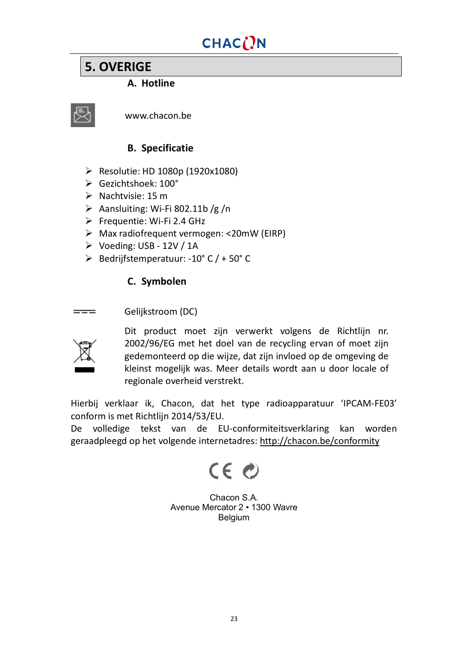## **5. OVERIGE**

#### **A. Hotline**



www.chacon.be

#### **B. Specificatie**

- Ø Resolutie: HD 1080p (1920x1080)
- $\triangleright$  Gezichtshoek: 100°
- $\triangleright$  Nachtvisie: 15 m
- $\triangleright$  Aansluiting: Wi-Fi 802.11b/g/n
- Ø Frequentie: Wi-Fi 2.4 GHz
- $\triangleright$  Max radiofrequent vermogen: <20mW (EIRP)
- $\triangleright$  Voeding: USB 12V / 1A
- Ø Bedrijfstemperatuur: -10° C / + 50° C

#### **C. Symbolen**

Gelijkstroom (DC)  $=$ 



Dit product moet zijn verwerkt volgens de Richtlijn nr. 2002/96/EG met het doel van de recycling ervan of moet zijn gedemonteerd op die wijze, dat zijn invloed op de omgeving de kleinst mogelijk was. Meer details wordt aan u door locale of regionale overheid verstrekt.

Hierbij verklaar ik, Chacon, dat het type radioapparatuur 'IPCAM-FE03' conform is met Richtlijn 2014/53/EU.

De volledige tekst van de EU-conformiteitsverklaring kan worden geraadpleegd op het volgende internetadres: <http://chacon.be/conformity>

CE O

Chacon S.A. Avenue Mercator 2 • 1300 Wavre Belgium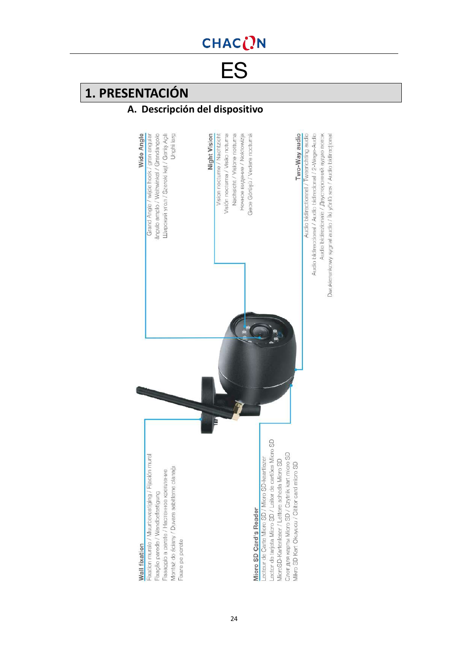<span id="page-23-0"></span>ES

## **1. PRESENTACIÓN**

### **A. Descripción del dispositivo**

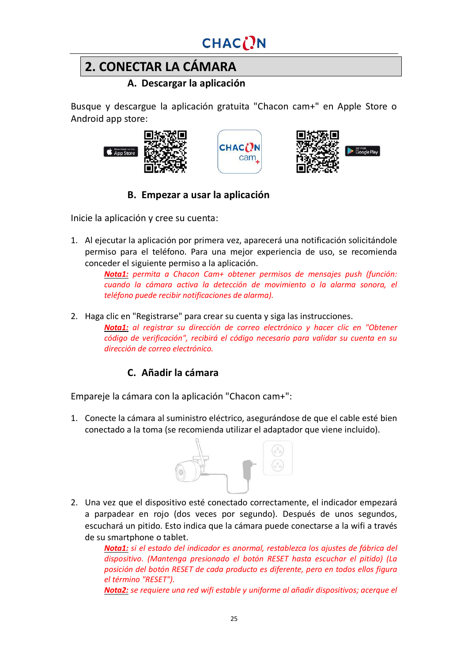

## **2. CONECTAR LA CÁMARA**

**A. Descargar la aplicación**

Busque y descargue la aplicación gratuita "Chacon cam+" en Apple Store o Android app store:







### **B. Empezar a usar la aplicación**

Inicie la aplicación y cree su cuenta:

1. Al ejecutar la aplicación por primera vez, aparecerá una notificación solicitándole permiso para el teléfono. Para una mejor experiencia de uso, se recomienda conceder el siguiente permiso a la aplicación.

*Nota1: permita a Chacon Cam+ obtener permisos de mensajes push (función: cuando la cámara activa la detección de movimiento o la alarma sonora, el teléfono puede recibir notificaciones de alarma).*

2. Haga clic en "Registrarse" para crear su cuenta y siga las instrucciones. *Nota1: al registrar su dirección de correo electrónico y hacer clic en "Obtener código de verificación", recibirá el código necesario para validar su cuenta en su dirección de correo electrónico.*

### **C. Añadir la cámara**

Empareje la cámara con la aplicación "Chacon cam+":

1. Conecte la cámara al suministro eléctrico, asegurándose de que el cable esté bien conectado a la toma (se recomienda utilizar el adaptador que viene incluido).



2. Una vez que el dispositivo esté conectado correctamente, el indicador empezará a parpadear en rojo (dos veces por segundo). Después de unos segundos, escuchará un pitido. Esto indica que la cámara puede conectarse a la wifi a través de su smartphone o tablet.

*Nota1: si el estado del indicador es anormal, restablezca los ajustes de fábrica del dispositivo. (Mantenga presionado el botón RESET hasta escuchar el pitido) (La posición del botón RESET de cada producto es diferente, pero en todos ellos figura el término "RESET").*

*Nota2: se requiere una red wifi estable y uniforme al añadir dispositivos; acerque el*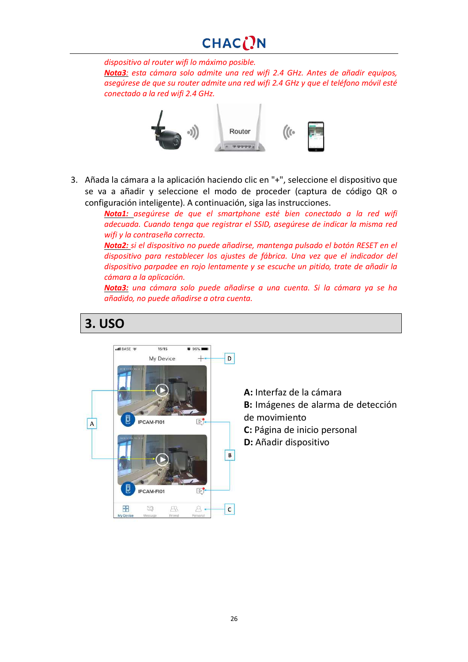*dispositivo al router wifi lo máximo posible.*

*Nota3: esta cámara solo admite una red wifi 2.4 GHz. Antes de añadir equipos, asegúrese de que su router admite una red wifi 2.4 GHz y que el teléfono móvil esté conectado a la red wifi 2.4 GHz.*



3. Añada la cámara a la aplicación haciendo clic en "+", seleccione el dispositivo que se va a añadir y seleccione el modo de proceder (captura de código QR o configuración inteligente). A continuación, siga las instrucciones.

> *Nota1: asegúrese de que el smartphone esté bien conectado a la red wifi adecuada. Cuando tenga que registrar el SSID, asegúrese de indicar la misma red wifi y la contraseña correcta.*

> *Nota2: si el dispositivo no puede añadirse, mantenga pulsado el botón RESET en el dispositivo para restablecer los ajustes de fábrica. Una vez que el indicador del dispositivo parpadee en rojo lentamente y se escuche un pitido, trate de añadir la cámara a la aplicación.*

> *Nota3: una cámara solo puede añadirse a una cuenta. Si la cámara ya se ha añadido, no puede añadirse a otra cuenta.*

## **3. USO**



- **A:** Interfaz de la cámara
- **B:** Imágenes de alarma de detección
- de movimiento
- **C:** Página de inicio personal
- **D:** Añadir dispositivo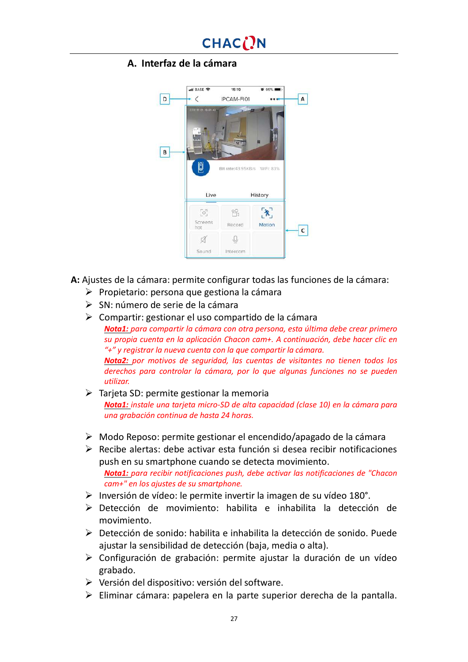#### **A. Interfaz de la cámara**



**A:** Ajustes de la cámara: permite configurar todas las funciones de la cámara:

- $\triangleright$  Propietario: persona que gestiona la cámara
- $\triangleright$  SN: número de serie de la cámara
- $\triangleright$  Compartir: gestionar el uso compartido de la cámara *Nota1: para compartir la cámara con otra persona, esta última debe crear primero su propia cuenta en la aplicación Chacon cam+. A continuación, debe hacer clic en "+" y registrar la nueva cuenta con la que compartir la cámara. Nota2: por motivos de seguridad, las cuentas de visitantes no tienen todos los derechos para controlar la cámara, por lo que algunas funciones no se pueden utilizar.*
- $\triangleright$  Tarjeta SD: permite gestionar la memoria *Nota1: instale una tarjeta micro-SD de alta capacidad (clase 10) en la cámara para una grabación continua de hasta 24 horas.*
- $\triangleright$  Modo Reposo: permite gestionar el encendido/apagado de la cámara
- $\triangleright$  Recibe alertas: debe activar esta función si desea recibir notificaciones push en su smartphone cuando se detecta movimiento. *Nota1: para recibir notificaciones push, debe activar las notificaciones de "Chacon cam+" en los ajustes de su smartphone.*
- $\triangleright$  Inversión de vídeo: le permite invertir la imagen de su vídeo 180°.
- $\triangleright$  Detección de movimiento: habilita e inhabilita la detección de movimiento.
- $\triangleright$  Detección de sonido: habilita e inhabilita la detección de sonido. Puede ajustar la sensibilidad de detección (baja, media o alta).
- $\triangleright$  Configuración de grabación: permite ajustar la duración de un vídeo grabado.
- $\triangleright$  Versión del dispositivo: versión del software.
- $\triangleright$  Eliminar cámara: papelera en la parte superior derecha de la pantalla.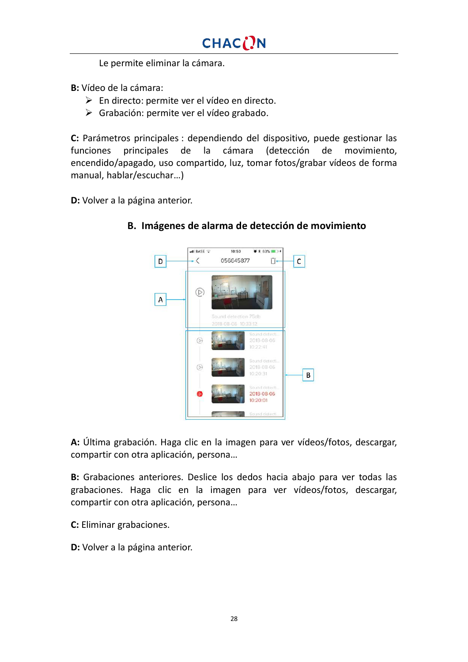Le permite eliminar la cámara.

**B:** Vídeo de la cámara:

- $\triangleright$  En directo: permite ver el vídeo en directo.
- $\triangleright$  Grabación: permite ver el vídeo grabado.

**C:** Parámetros principales : dependiendo del dispositivo, puede gestionar las funciones principales de la cámara (detección de movimiento, encendido/apagado, uso compartido, luz, tomar fotos/grabar vídeos de forma manual, hablar/escuchar…)

**D:** Volver a la página anterior.



#### **B. Imágenes de alarma de detección de movimiento**

**A:** Última grabación. Haga clic en la imagen para ver vídeos/fotos, descargar, compartir con otra aplicación, persona…

**B:** Grabaciones anteriores. Deslice los dedos hacia abajo para ver todas las grabaciones. Haga clic en la imagen para ver vídeos/fotos, descargar, compartir con otra aplicación, persona…

- **C:** Eliminar grabaciones.
- **D:** Volver a la página anterior.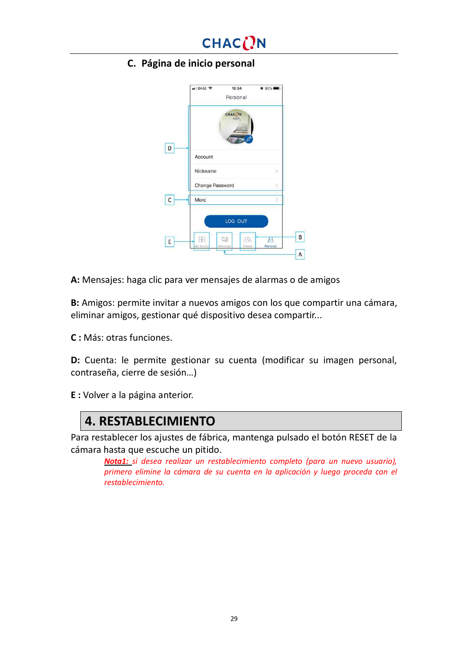

**C. Página de inicio personal**

|   | BASE 중<br>15:34<br>Personal  | $092\%$                       |   |
|---|------------------------------|-------------------------------|---|
|   | CHAC <sub>(</sub> )N<br>cam. |                               |   |
| D | Account                      |                               |   |
|   | Nickname                     |                               |   |
|   | Change Password              |                               |   |
| С | More                         |                               |   |
|   | LOG OUT                      |                               |   |
| E | g<br>My Device<br>Meesage    | Æ,<br>д<br>Personal<br>Friend | B |
|   |                              |                               | A |

**A:** Mensajes: haga clic para ver mensajes de alarmas o de amigos

**B:** Amigos: permite invitar a nuevos amigos con los que compartir una cámara, eliminar amigos, gestionar qué dispositivo desea compartir...

**C :** Más: otras funciones.

**D:** Cuenta: le permite gestionar su cuenta (modificar su imagen personal, contraseña, cierre de sesión…)

**E :** Volver a la página anterior.

### **4. RESTABLECIMIENTO**

Para restablecer los ajustes de fábrica, mantenga pulsado el botón RESET de la cámara hasta que escuche un pitido.

*Nota1: si desea realizar un restablecimiento completo (para un nuevo usuario), primero elimine la cámara de su cuenta en la aplicación y luego proceda con el restablecimiento.*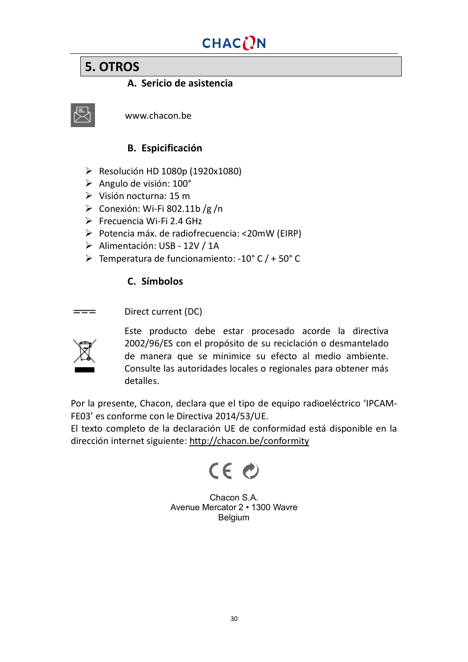## **5. OTROS**

**A. Sericio de asistencia**

www.chacon.be

#### **B. Espicificación**

- $\triangleright$  Resolución HD 1080p (1920x1080)
- $\triangleright$  Angulo de visión: 100°
- $\triangleright$  Visión nocturna: 15 m
- $\triangleright$  Conexión: Wi-Fi 802.11b /g /n
- $\triangleright$  Frecuencia Wi-Fi 2.4 GHz
- Ø Potencia máx. de radiofrecuencia: <20mW (EIRP)
- Ø Alimentación: USB 12V / 1A
- $\triangleright$  Temperatura de funcionamiento: -10° C / + 50° C

#### **C. Símbolos**

Direct current (DC)  $=$ 



Este producto debe estar procesado acorde la directiva 2002/96/ES con el propósito de su reciclación o desmantelado de manera que se minimice su efecto al medio ambiente. Consulte las autoridades locales o regionales para obtener más detalles.

Por la presente, Chacon, declara que el tipo de equipo radioeléctrico 'IPCAM-FE03' es conforme con le Directiva 2014/53/UE.

El texto completo de la declaración UE de conformidad está disponible en la dirección internet siguiente: <http://chacon.be/conformity>



Chacon S.A. Avenue Mercator 2 • 1300 Wavre Belgium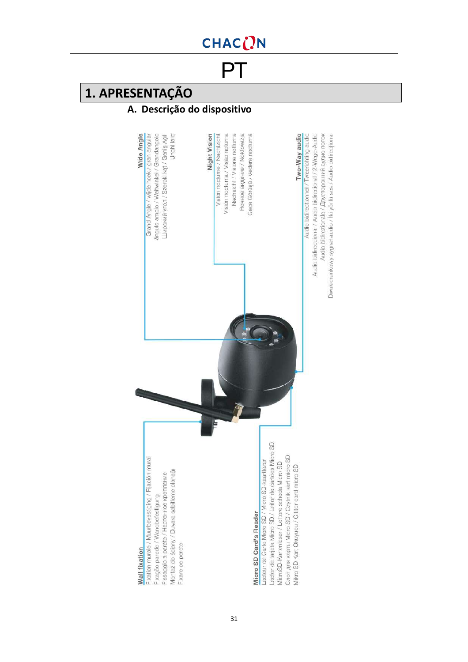<span id="page-30-0"></span>**PT** 

## **1. APRESENTAÇÃO**

### **A. Descrição do dispositivo**

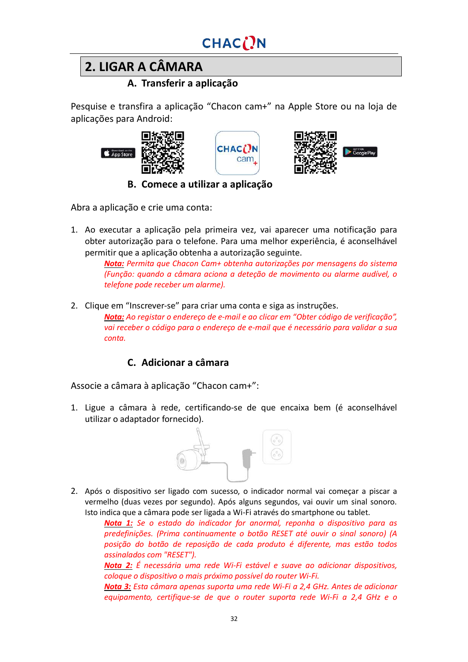# **2. LIGAR A CÂMARA**

### **A. Transferir a aplicação**

Pesquise e transfira a aplicação "Chacon cam+" na Apple Store ou na loja de aplicações para Android:







**B. Comece a utilizar a aplicação**

Abra a aplicação e crie uma conta:

1. Ao executar a aplicação pela primeira vez, vai aparecer uma notificação para obter autorização para o telefone. Para uma melhor experiência, é aconselhável permitir que a aplicação obtenha a autorização seguinte.

*Nota: Permita que Chacon Cam+ obtenha autorizações por mensagens do sistema (Função: quando a câmara aciona a deteção de movimento ou alarme audível, o telefone pode receber um alarme).*

2. Clique em "Inscrever-se" para criar uma conta e siga as instruções.

*Nota: Ao registar o endereço de e-mail e ao clicar em "Obter código de verificação", vai receber o código para o endereço de e-mail que é necessário para validar a sua conta.*

### **C. Adicionar a câmara**

Associe a câmara à aplicação "Chacon cam+":

1. Ligue a câmara à rede, certificando-se de que encaixa bem (é aconselhável utilizar o adaptador fornecido).



2. Após o dispositivo ser ligado com sucesso, o indicador normal vai começar a piscar a vermelho (duas vezes por segundo). Após alguns segundos, vai ouvir um sinal sonoro. Isto indica que a câmara pode ser ligada a Wi-Fi através do smartphone ou tablet.

> *Nota 1: Se o estado do indicador for anormal, reponha o dispositivo para as predefinições. (Prima continuamente o botão RESET até ouvir o sinal sonoro) (A posição do botão de reposição de cada produto é diferente, mas estão todos assinalados com "RESET").*

> *Nota 2: É necessária uma rede Wi-Fi estável e suave ao adicionar dispositivos, coloque o dispositivo o mais próximo possível do router Wi-Fi.*

> *Nota 3: Esta câmara apenas suporta uma rede Wi-Fi a 2,4 GHz. Antes de adicionar equipamento, certifique-se de que o router suporta rede Wi-Fi a 2,4 GHz e o*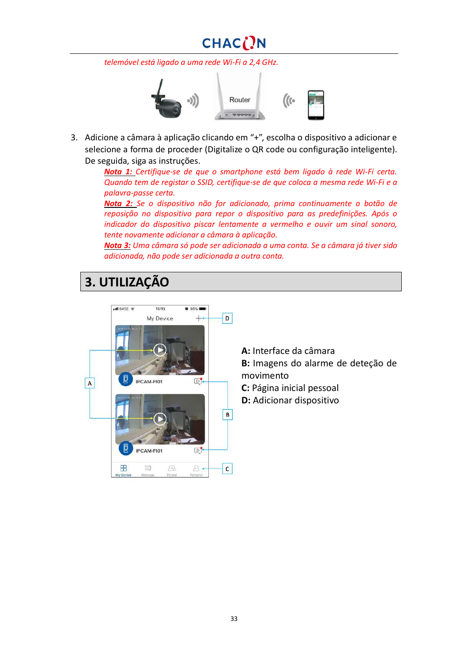## CHACON

*telemóvel está ligado a uma rede Wi-Fi a 2,4 GHz.*



3. Adicione a câmara à aplicação clicando em "+", escolha o dispositivo a adicionar e selecione a forma de proceder (Digitalize o QR code ou configuração inteligente). De seguida, siga as instruções.

*Nota 1: Certifique-se de que o smartphone está bem ligado à rede Wi-Fi certa. Quando tem de registar o SSID, certifique-se de que coloca a mesma rede Wi-Fi e a palavra-passe certa.*

*Nota 2: Se o dispositivo não for adicionado, prima continuamente o botão de reposição no dispositivo para repor o dispositivo para as predefinições. Após o indicador do dispositivo piscar lentamente a vermelho e ouvir um sinal sonoro, tente novamente adicionar a câmara à aplicação.*

*Nota 3: Uma câmara só pode ser adicionada a uma conta. Se a câmara já tiver sido adicionada, não pode ser adicionada a outra conta.*

## **3. UTILIZAÇÃO**



**A:** Interface da câmara **B:** Imagens do alarme de deteção de movimento **C:** Página inicial pessoal

**D:** Adicionar dispositivo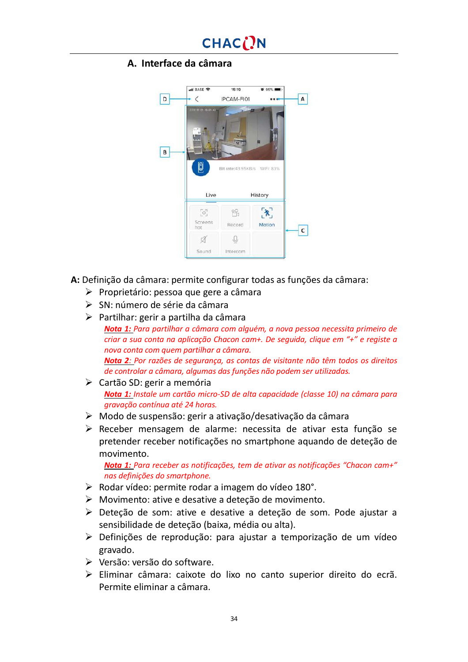#### **A. Interface da câmara**



**A:** Definição da câmara: permite configurar todas as funções da câmara:

- $\triangleright$  Proprietário: pessoa que gere a câmara
- $\triangleright$  SN: número de série da câmara
- $\triangleright$  Partilhar: gerir a partilha da câmara
- *Nota 1: Para partilhar a câmara com alguém, a nova pessoa necessita primeiro de criar a sua conta na aplicação Chacon cam+. De seguida, clique em "+" e registe a nova conta com quem partilhar a câmara. Nota 2: Por razões de segurança, as contas de visitante não têm todos os direitos de controlar a câmara, algumas das funções não podem ser utilizadas.*
- $\triangleright$  Cartão SD: gerir a memória *Nota 1: Instale um cartão micro-SD de alta capacidade (classe 10) na câmara para gravação contínua até 24 horas.*
- $\triangleright$  Modo de suspensão: gerir a ativação/desativação da câmara
- Ø Receber mensagem de alarme: necessita de ativar esta função se pretender receber notificações no smartphone aquando de deteção de movimento.

*Nota 1: Para receber as notificações, tem de ativar as notificações "Chacon cam+" nas definições do smartphone.*

- $\triangleright$  Rodar vídeo: permite rodar a imagem do vídeo 180°.
- Ø Movimento: ative e desative a deteção de movimento.
- Ø Deteção de som: ative e desative a deteção de som. Pode ajustar a sensibilidade de deteção (baixa, média ou alta).
- $\triangleright$  Definições de reprodução: para ajustar a temporização de um vídeo gravado.
- $\triangleright$  Versão: versão do software.
- Ø Eliminar câmara: caixote do lixo no canto superior direito do ecrã. Permite eliminar a câmara.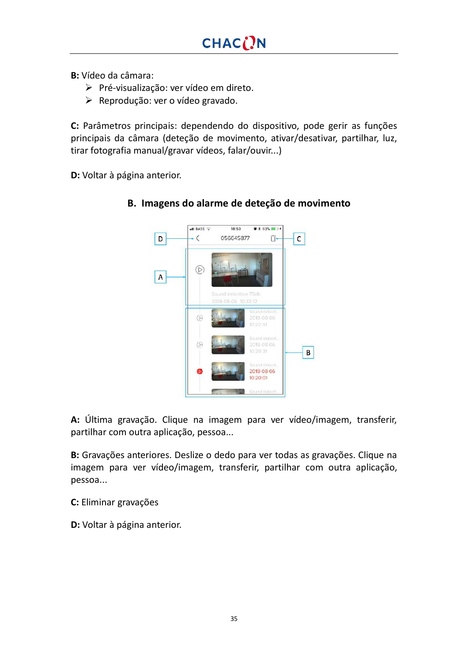**B:** Vídeo da câmara:

- Ø Pré-visualização: ver vídeo em direto.
- $\triangleright$  Reprodução: ver o vídeo gravado.

**C:** Parâmetros principais: dependendo do dispositivo, pode gerir as funções principais da câmara (deteção de movimento, ativar/desativar, partilhar, luz, tirar fotografia manual/gravar vídeos, falar/ouvir...)

**D:** Voltar à página anterior.



#### **B. Imagens do alarme de deteção de movimento**

**A:** Última gravação. Clique na imagem para ver vídeo/imagem, transferir, partilhar com outra aplicação, pessoa...

**B:** Gravações anteriores. Deslize o dedo para ver todas as gravações. Clique na imagem para ver vídeo/imagem, transferir, partilhar com outra aplicação, pessoa...

**C:** Eliminar gravações

**D:** Voltar à página anterior.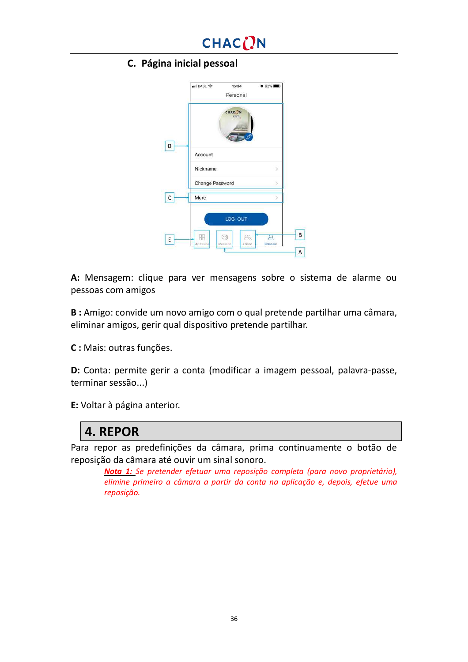

#### **C. Página inicial pessoal**

|   | .II BASE 중<br>15:34<br>Personal | <b>0 92% DM</b>                |  |
|---|---------------------------------|--------------------------------|--|
|   | CHAC <sub>(</sub> )N<br>cam.    |                                |  |
| D | Account                         |                                |  |
|   | Nickname                        | 5                              |  |
|   | Change Password                 |                                |  |
| с | More                            | S                              |  |
|   | LOG OUT                         |                                |  |
| E | 립<br>My Device<br>Meesage       | ДŖ,<br>щ<br>Personal<br>Friend |  |
|   |                                 |                                |  |

**A:** Mensagem: clique para ver mensagens sobre o sistema de alarme ou pessoas com amigos

**B :** Amigo: convide um novo amigo com o qual pretende partilhar uma câmara, eliminar amigos, gerir qual dispositivo pretende partilhar.

**C :** Mais: outras funções.

**D:** Conta: permite gerir a conta (modificar a imagem pessoal, palavra-passe, terminar sessão...)

**E:** Voltar à página anterior.

## **4. REPOR**

Para repor as predefinições da câmara, prima continuamente o botão de reposição da câmara até ouvir um sinal sonoro.

*Nota 1: Se pretender efetuar uma reposição completa (para novo proprietário), elimine primeiro a câmara a partir da conta na aplicação e, depois, efetue uma reposição.*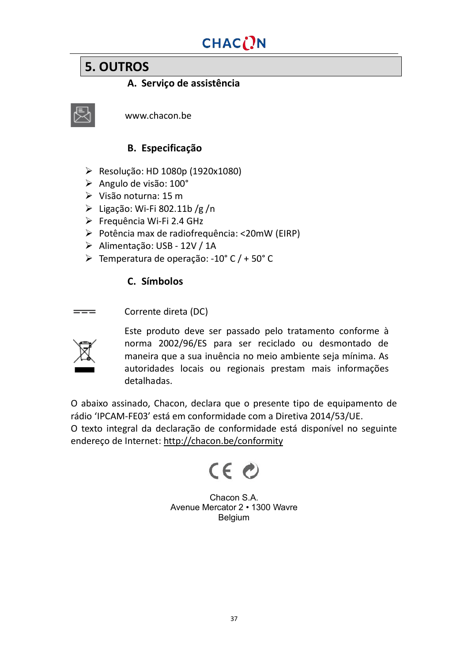## **5. OUTROS**

### **A. Serviço de assistência**



www.chacon.be

### **B. Especificação**

- $\triangleright$  Resolução: HD 1080p (1920x1080)
- Ø Angulo de visão: 100°
- $\triangleright$  Visão noturna: 15 m
- $\triangleright$  Ligação: Wi-Fi 802.11b /g /n
- Ø Frequência Wi-Fi 2.4 GHz
- Ø Potência max de radiofrequência: <20mW (EIRP)
- Ø Alimentação: USB 12V / 1A
- Ø Temperatura de operação: -10° C / + 50° C

### **C. Símbolos**

Corrente direta (DC)  $=$ 



Este produto deve ser passado pelo tratamento conforme à norma 2002/96/ES para ser reciclado ou desmontado de maneira que a sua inuência no meio ambiente seja mínima. As autoridades locais ou regionais prestam mais informações detalhadas.

O abaixo assinado, Chacon, declara que o presente tipo de equipamento de rádio 'IPCAM-FE03' está em conformidade com a Diretiva 2014/53/UE.

O texto integral da declaração de conformidade está disponível no seguinte endereço de Internet: <http://chacon.be/conformity>



Chacon S.A. Avenue Mercator 2 • 1300 Wavre Belgium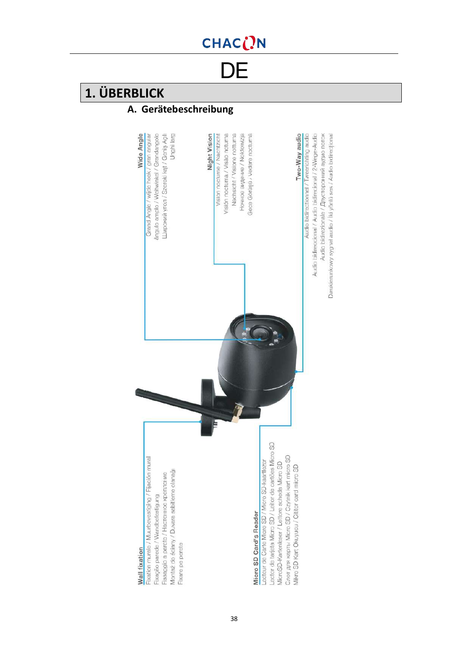**DE** 

## **1. ÜBERBLICK**

## **A. Gerätebeschreibung**

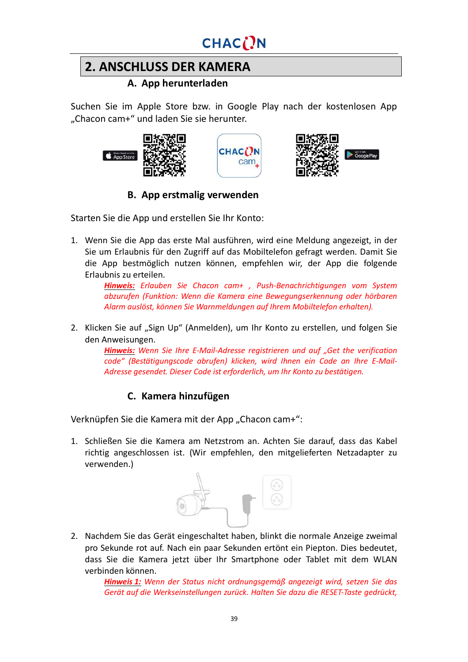

## **2. ANSCHLUSS DER KAMERA**

#### **A. App herunterladen**

Suchen Sie im Apple Store bzw. in Google Play nach der kostenlosen App "Chacon cam+" und laden Sie sie herunter.

cam







### **B. App erstmalig verwenden**

Starten Sie die App und erstellen Sie Ihr Konto:

1. Wenn Sie die App das erste Mal ausführen, wird eine Meldung angezeigt, in der Sie um Erlaubnis für den Zugriff auf das Mobiltelefon gefragt werden. Damit Sie die App bestmöglich nutzen können, empfehlen wir, der App die folgende Erlaubnis zu erteilen.

*Hinweis: Erlauben Sie Chacon cam+ , Push-Benachrichtigungen vom System abzurufen (Funktion: Wenn die Kamera eine Bewegungserkennung oder hörbaren Alarm auslöst, können Sie Warnmeldungen auf Ihrem Mobiltelefon erhalten).*

2. Klicken Sie auf "Sign Up" (Anmelden), um Ihr Konto zu erstellen, und folgen Sie den Anweisungen.

*Hinweis: Wenn Sie Ihre E-Mail-Adresse registrieren und auf "Get the verification code" (Bestätigungscode abrufen) klicken, wird Ihnen ein Code an Ihre E-Mail-Adresse gesendet. Dieser Code ist erforderlich, um Ihr Konto zu bestätigen.*

### **C. Kamera hinzufügen**

Verknüpfen Sie die Kamera mit der App "Chacon cam+":

1. Schließen Sie die Kamera am Netzstrom an. Achten Sie darauf, dass das Kabel richtig angeschlossen ist. (Wir empfehlen, den mitgelieferten Netzadapter zu verwenden.)



2. Nachdem Sie das Gerät eingeschaltet haben, blinkt die normale Anzeige zweimal pro Sekunde rot auf. Nach ein paar Sekunden ertönt ein Piepton. Dies bedeutet, dass Sie die Kamera jetzt über Ihr Smartphone oder Tablet mit dem WLAN verbinden können.

> *Hinweis 1: Wenn der Status nicht ordnungsgemäß angezeigt wird, setzen Sie das Gerät auf die Werkseinstellungen zurück. Halten Sie dazu die RESET-Taste gedrückt,*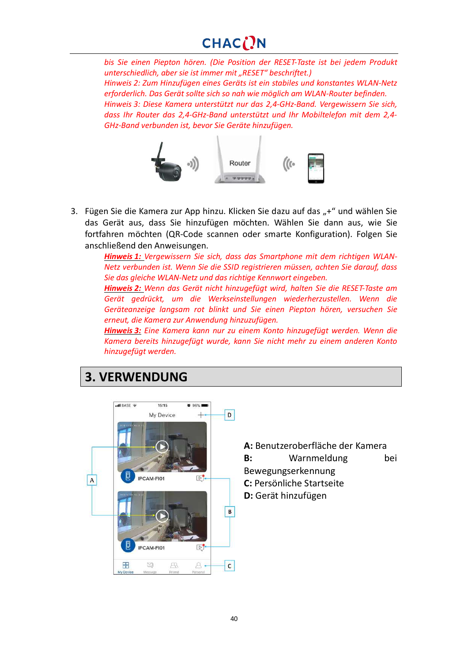## CHACON

*bis Sie einen Piepton hören. (Die Position der RESET-Taste ist bei jedem Produkt unterschiedlich, aber sie ist immer mit "RESET" beschriftet.) Hinweis 2: Zum Hinzufügen eines Geräts ist ein stabiles und konstantes WLAN-Netz erforderlich. Das Gerät sollte sich so nah wie möglich am WLAN-Router befinden. Hinweis 3: Diese Kamera unterstützt nur das 2,4-GHz-Band. Vergewissern Sie sich, dass Ihr Router das 2,4-GHz-Band unterstützt und Ihr Mobiltelefon mit dem 2,4- GHz-Band verbunden ist, bevor Sie Geräte hinzufügen.*



3. Fügen Sie die Kamera zur App hinzu. Klicken Sie dazu auf das "+" und wählen Sie das Gerät aus, dass Sie hinzufügen möchten. Wählen Sie dann aus, wie Sie fortfahren möchten (QR-Code scannen oder smarte Konfiguration). Folgen Sie anschließend den Anweisungen.

> *Hinweis 1: Vergewissern Sie sich, dass das Smartphone mit dem richtigen WLAN-Netz verbunden ist. Wenn Sie die SSID registrieren müssen, achten Sie darauf, dass Sie das gleiche WLAN-Netz und das richtige Kennwort eingeben.*

> *Hinweis 2: Wenn das Gerät nicht hinzugefügt wird, halten Sie die RESET-Taste am Gerät gedrückt, um die Werkseinstellungen wiederherzustellen. Wenn die Geräteanzeige langsam rot blinkt und Sie einen Piepton hören, versuchen Sie erneut, die Kamera zur Anwendung hinzuzufügen.*

> *Hinweis 3: Eine Kamera kann nur zu einem Konto hinzugefügt werden. Wenn die Kamera bereits hinzugefügt wurde, kann Sie nicht mehr zu einem anderen Konto hinzugefügt werden.*

## **3. VERWENDUNG**



**A:** Benutzeroberfläche der Kamera

**B:** Warnmeldung bei

Bewegungserkennung

**C:** Persönliche Startseite

**D:** Gerät hinzufügen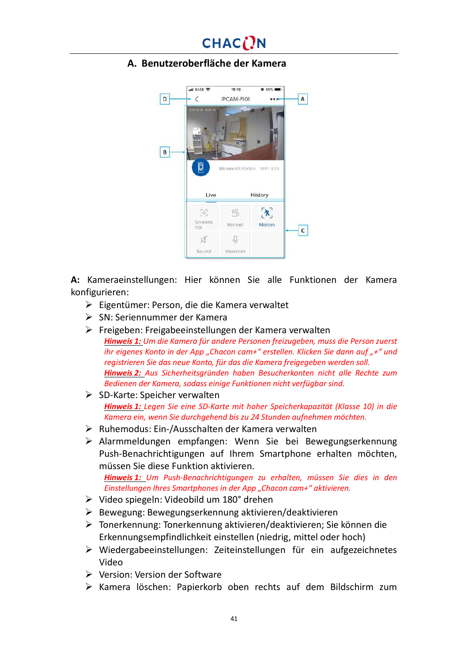### **A. Benutzeroberfläche der Kamera**



**A:** Kameraeinstellungen: Hier können Sie alle Funktionen der Kamera konfigurieren:

- Ø Eigentümer: Person, die die Kamera verwaltet
- Ø SN: Seriennummer der Kamera
- Ø Freigeben: Freigabeeinstellungen der Kamera verwalten *Hinweis 1: Um die Kamera für andere Personen freizugeben, muss die Person zuerst ihr eigenes Konto in der App "Chacon cam+" erstellen. Klicken Sie dann auf "+" und registrieren Sie das neue Konto, für das die Kamera freigegeben werden soll. Hinweis 2: Aus Sicherheitsgründen haben Besucherkonten nicht alle Rechte zum Bedienen der Kamera, sodass einige Funktionen nicht verfügbar sind.*
- $\triangleright$  SD-Karte: Speicher verwalten *Hinweis 1: Legen Sie eine SD-Karte mit hoher Speicherkapazität (Klasse 10) in die Kamera ein, wenn Sie durchgehend bis zu 24 Stunden aufnehmen möchten.*
- $\triangleright$  Ruhemodus: Ein-/Ausschalten der Kamera verwalten
- Ø Alarmmeldungen empfangen: Wenn Sie bei Bewegungserkennung Push-Benachrichtigungen auf Ihrem Smartphone erhalten möchten, müssen Sie diese Funktion aktivieren.

*Hinweis 1: Um Push-Benachrichtigungen zu erhalten, müssen Sie dies in den Einstellungen Ihres Smartphones in der App "Chacon cam+" aktivieren.*

- Ø Video spiegeln: Videobild um 180° drehen
- Ø Bewegung: Bewegungserkennung aktivieren/deaktivieren
- Ø Tonerkennung: Tonerkennung aktivieren/deaktivieren; Sie können die Erkennungsempfindlichkeit einstellen (niedrig, mittel oder hoch)
- Ø Wiedergabeeinstellungen: Zeiteinstellungen für ein aufgezeichnetes Video
- Ø Version: Version der Software
- Ø Kamera löschen: Papierkorb oben rechts auf dem Bildschirm zum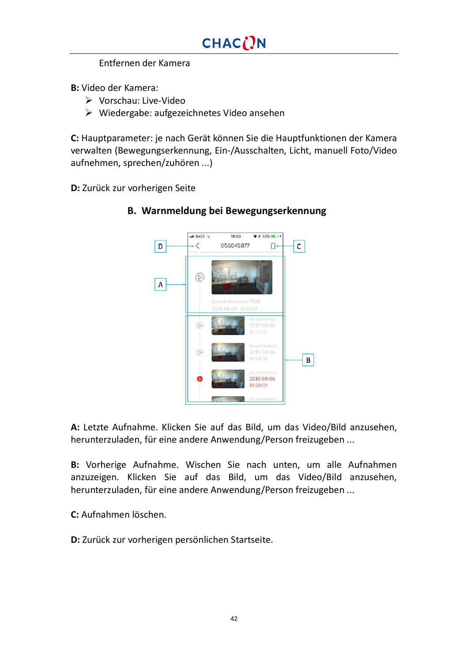Entfernen der Kamera

**B:** Video der Kamera:

- Ø Vorschau: Live-Video
- $\triangleright$  Wiedergabe: aufgezeichnetes Video ansehen

**C:** Hauptparameter: je nach Gerät können Sie die Hauptfunktionen der Kamera verwalten (Bewegungserkennung, Ein-/Ausschalten, Licht, manuell Foto/Video aufnehmen, sprechen/zuhören ...)

**D:** Zurück zur vorherigen Seite



#### **B. Warnmeldung bei Bewegungserkennung**

**A:** Letzte Aufnahme. Klicken Sie auf das Bild, um das Video/Bild anzusehen, herunterzuladen, für eine andere Anwendung/Person freizugeben ...

**B:** Vorherige Aufnahme. Wischen Sie nach unten, um alle Aufnahmen anzuzeigen. Klicken Sie auf das Bild, um das Video/Bild anzusehen, herunterzuladen, für eine andere Anwendung/Person freizugeben ...

**C:** Aufnahmen löschen.

**D:** Zurück zur vorherigen persönlichen Startseite.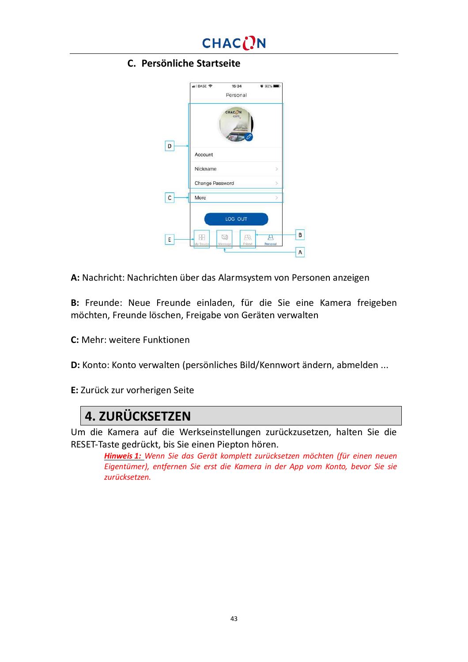

#### **C. Persönliche Startseite**

|           | CHAC <sub>(</sub> )N<br>cam. |                                 |  |
|-----------|------------------------------|---------------------------------|--|
| Account   |                              |                                 |  |
| Nickname  |                              |                                 |  |
|           |                              |                                 |  |
| More      |                              |                                 |  |
|           | LOG OUT                      |                                 |  |
| My Device | ρŖ<br>Friend                 | Personal                        |  |
|           |                              | Change Password<br>립<br>Meesage |  |

**A:** Nachricht: Nachrichten über das Alarmsystem von Personen anzeigen

**B:** Freunde: Neue Freunde einladen, für die Sie eine Kamera freigeben möchten, Freunde löschen, Freigabe von Geräten verwalten

**C:** Mehr: weitere Funktionen

**D:** Konto: Konto verwalten (persönliches Bild/Kennwort ändern, abmelden ...

**E:** Zurück zur vorherigen Seite

## **4. ZURÜCKSETZEN**

Um die Kamera auf die Werkseinstellungen zurückzusetzen, halten Sie die RESET-Taste gedrückt, bis Sie einen Piepton hören.

*Hinweis 1: Wenn Sie das Gerät komplett zurücksetzen möchten (für einen neuen Eigentümer), entfernen Sie erst die Kamera in der App vom Konto, bevor Sie sie zurücksetzen.*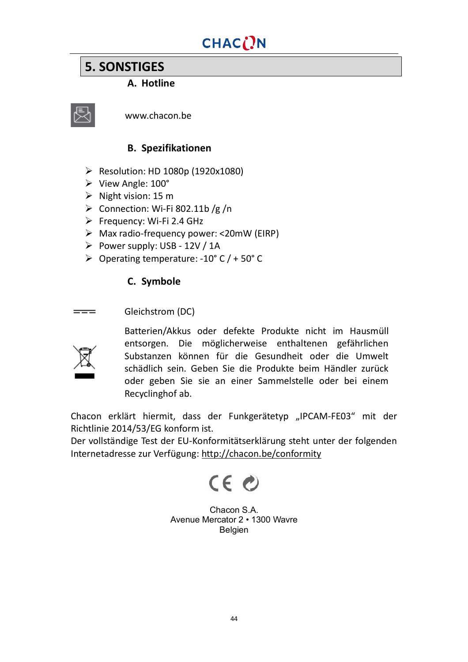## **5. SONSTIGES**

### **A. Hotline**



www.chacon.be

### **B. Spezifikationen**

- $\triangleright$  Resolution: HD 1080p (1920x1080)
- Ø View Angle: 100°
- $\triangleright$  Night vision: 15 m
- $\triangleright$  Connection: Wi-Fi 802.11b /g /n
- $\triangleright$  Frequency: Wi-Fi 2.4 GHz
- $\triangleright$  Max radio-frequency power: <20mW (EIRP)
- $\triangleright$  Power supply: USB 12V / 1A
- $\geq$  Operating temperature: -10° C / + 50° C

### **C. Symbole**

Gleichstrom (DC)  $=$ 



Batterien/Akkus oder defekte Produkte nicht im Hausmüll entsorgen. Die möglicherweise enthaltenen gefährlichen Substanzen können für die Gesundheit oder die Umwelt schädlich sein. Geben Sie die Produkte beim Händler zurück oder geben Sie sie an einer Sammelstelle oder bei einem Recyclinghof ab.

Chacon erklärt hiermit, dass der Funkgerätetyp "IPCAM-FE03" mit der Richtlinie 2014/53/EG konform ist.

Der vollständige Test der EU-Konformitätserklärung steht unter der folgenden Internetadresse zur Verfügung: <http://chacon.be/conformity>

# CE O

Chacon S.A. Avenue Mercator 2 • 1300 Wavre Belgien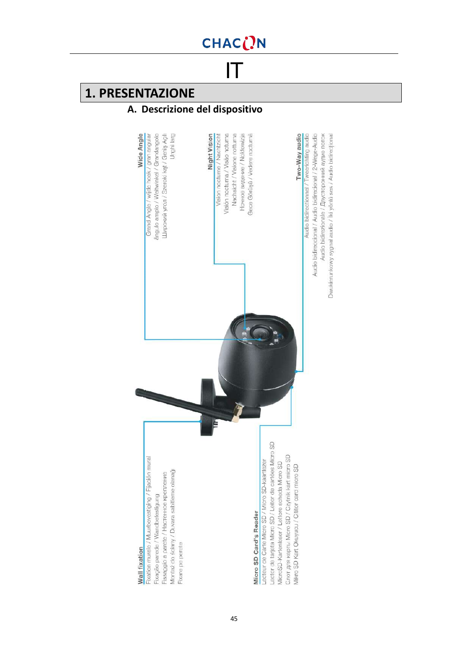IT

## **1. PRESENTAZIONE**

## **A. Descrizione del dispositivo**

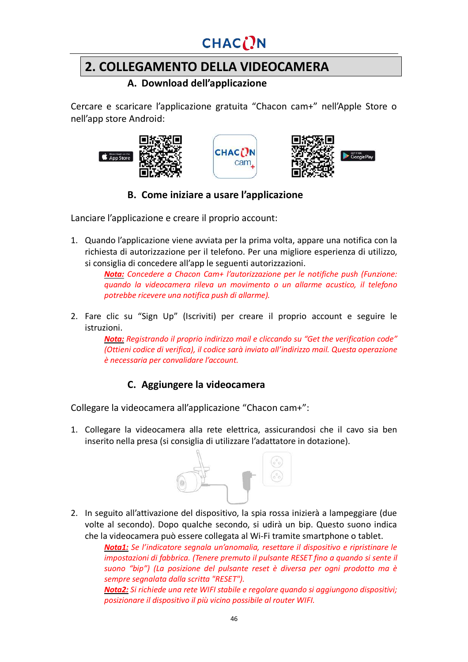## CHACON

## **2. COLLEGAMENTO DELLA VIDEOCAMERA**

### **A. Download dell'applicazione**

Cercare e scaricare l'applicazione gratuita "Chacon cam+" nell'Apple Store o nell'app store Android:







**B. Come iniziare a usare l'applicazione**

Lanciare l'applicazione e creare il proprio account:

1. Quando l'applicazione viene avviata per la prima volta, appare una notifica con la richiesta di autorizzazione per il telefono. Per una migliore esperienza di utilizzo, si consiglia di concedere all'app le seguenti autorizzazioni.

> *Nota: Concedere a Chacon Cam+ l'autorizzazione per le notifiche push (Funzione: quando la videocamera rileva un movimento o un allarme acustico, il telefono potrebbe ricevere una notifica push di allarme).*

2. Fare clic su "Sign Up" (Iscriviti) per creare il proprio account e seguire le istruzioni.

> *Nota: Registrando il proprio indirizzo mail e cliccando su "Get the verification code" (Ottieni codice di verifica), il codice sarà inviato all'indirizzo mail. Questa operazione è necessaria per convalidare l'account.*

### **C. Aggiungere la videocamera**

Collegare la videocamera all'applicazione "Chacon cam+":

1. Collegare la videocamera alla rete elettrica, assicurandosi che il cavo sia ben inserito nella presa (si consiglia di utilizzare l'adattatore in dotazione).



2. In seguito all'attivazione del dispositivo, la spia rossa inizierà a lampeggiare (due volte al secondo). Dopo qualche secondo, si udirà un bip. Questo suono indica che la videocamera può essere collegata al Wi-Fi tramite smartphone o tablet.

*Nota1: Se l'indicatore segnala un'anomalia, resettare il dispositivo e ripristinare le impostazioni di fabbrica. (Tenere premuto il pulsante RESET fino a quando si sente il suono "bip") (La posizione del pulsante reset è diversa per ogni prodotto ma è sempre segnalata dalla scritta "RESET").*

*Nota2: Si richiede una rete WIFI stabile e regolare quando si aggiungono dispositivi; posizionare il dispositivo il più vicino possibile al router WIFI.*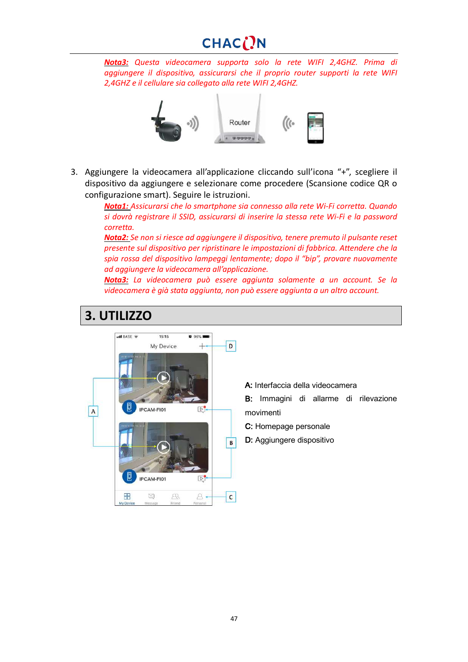## CHACON

*Nota3: Questa videocamera supporta solo la rete WIFI 2,4GHZ. Prima di aggiungere il dispositivo, assicurarsi che il proprio router supporti la rete WIFI 2,4GHZ e il cellulare sia collegato alla rete WIFI 2,4GHZ.*



3. Aggiungere la videocamera all'applicazione cliccando sull'icona "+", scegliere il dispositivo da aggiungere e selezionare come procedere (Scansione codice QR o configurazione smart). Seguire le istruzioni.

> *Nota1: Assicurarsi che lo smartphone sia connesso alla rete Wi-Fi corretta. Quando si dovrà registrare il SSID, assicurarsi di inserire la stessa rete Wi-Fi e la password corretta.*

> *Nota2: Se non si riesce ad aggiungere il dispositivo, tenere premuto il pulsante reset presente sul dispositivo per ripristinare le impostazioni di fabbrica. Attendere che la spia rossa del dispositivo lampeggi lentamente; dopo il "bip", provare nuovamente ad aggiungere la videocamera all'applicazione.*

> *Nota3: La videocamera può essere aggiunta solamente a un account. Se la videocamera è già stata aggiunta, non può essere aggiunta a un altro account.*



## **3. UTILIZZO**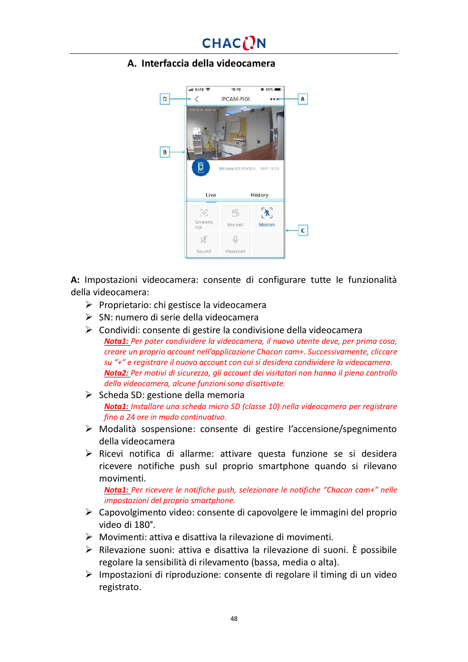### **A. Interfaccia della videocamera**



**A:** Impostazioni videocamera: consente di configurare tutte le funzionalità della videocamera:

- $\triangleright$  Proprietario: chi gestisce la videocamera
- $\triangleright$  SN: numero di serie della videocamera
- $\triangleright$  Condividi: consente di gestire la condivisione della videocamera *Nota1: Per poter condividere la videocamera, il nuovo utente deve, per prima cosa, creare un proprio account nell'applicazione Chacon cam+. Successivamente, cliccare su "+" e registrare il nuovo account con cui si desidera condividere la videocamera. Nota2: Per motivi di sicurezza, gli account dei visitatori non hanno il pieno controllo della videocamera, alcune funzioni sono disattivate.*
- $\triangleright$  Scheda SD: gestione della memoria *Nota1: Installare una scheda micro SD (classe 10) nella videocamera per registrare fino a 24 ore in modo continuativo.*
- Ø Modalità sospensione: consente di gestire l'accensione/spegnimento della videocamera
- $\triangleright$  Ricevi notifica di allarme: attivare questa funzione se si desidera ricevere notifiche push sul proprio smartphone quando si rilevano movimenti.

*Nota1: Per ricevere le notifiche push, selezionare le notifiche "Chacon cam+" nelle impostazioni del proprio smartphone.*

- $\triangleright$  Capovolgimento video: consente di capovolgere le immagini del proprio video di 180°.
- $\triangleright$  Movimenti: attiva e disattiva la rilevazione di movimenti.
- $\triangleright$  Rilevazione suoni: attiva e disattiva la rilevazione di suoni. È possibile regolare la sensibilità di rilevamento (bassa, media o alta).
- $\triangleright$  Impostazioni di riproduzione: consente di regolare il timing di un video registrato.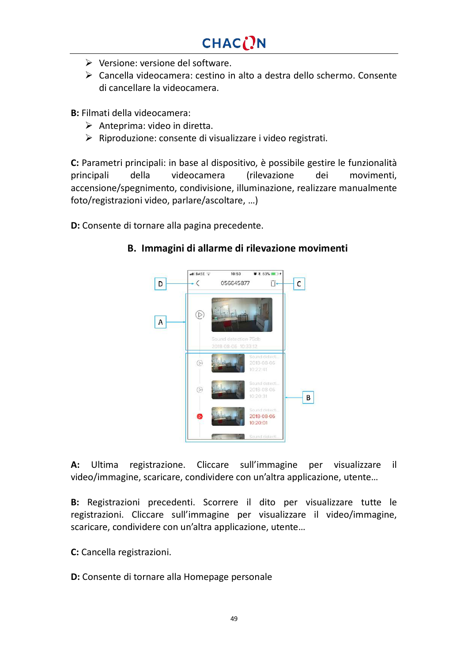- $\triangleright$  Versione: versione del software.
- $\triangleright$  Cancella videocamera: cestino in alto a destra dello schermo. Consente di cancellare la videocamera.

**B:** Filmati della videocamera:

- $\triangleright$  Anteprima: video in diretta.
- $\triangleright$  Riproduzione: consente di visualizzare i video registrati.

**C:** Parametri principali: in base al dispositivo, è possibile gestire le funzionalità principali della videocamera (rilevazione dei movimenti, accensione/spegnimento, condivisione, illuminazione, realizzare manualmente foto/registrazioni video, parlare/ascoltare, …)

**D:** Consente di tornare alla pagina precedente.



#### **B. Immagini di allarme di rilevazione movimenti**

**A:** Ultima registrazione. Cliccare sull'immagine per visualizzare il video/immagine, scaricare, condividere con un'altra applicazione, utente…

**B:** Registrazioni precedenti. Scorrere il dito per visualizzare tutte le registrazioni. Cliccare sull'immagine per visualizzare il video/immagine, scaricare, condividere con un'altra applicazione, utente…

**C:** Cancella registrazioni.

**D:** Consente di tornare alla Homepage personale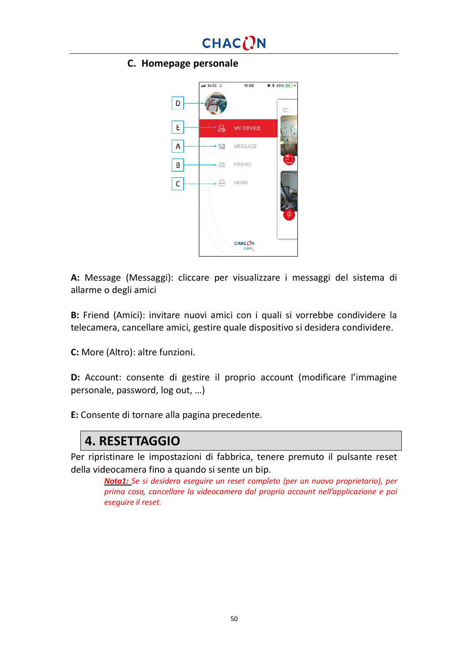

#### **C. Homepage personale**



**A:** Message (Messaggi): cliccare per visualizzare i messaggi del sistema di allarme o degli amici

**B:** Friend (Amici): invitare nuovi amici con i quali si vorrebbe condividere la telecamera, cancellare amici, gestire quale dispositivo si desidera condividere.

**C:** More (Altro): altre funzioni.

**D:** Account: consente di gestire il proprio account (modificare l'immagine personale, password, log out, …)

**E:** Consente di tornare alla pagina precedente.

## **4. RESETTAGGIO**

Per ripristinare le impostazioni di fabbrica, tenere premuto il pulsante reset della videocamera fino a quando si sente un bip.

*Nota1: Se si desidera eseguire un reset completo (per un nuovo proprietario), per prima cosa, cancellare la videocamera dal proprio account nell'applicazione e poi eseguire il reset.*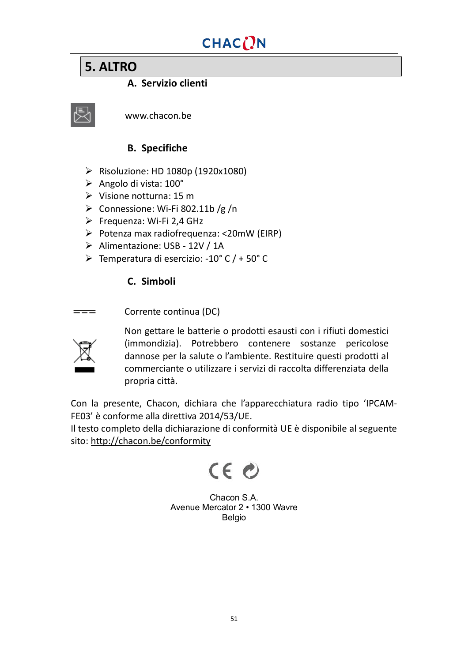## **5. ALTRO**

### **A. Servizio clienti**



www.chacon.be

### **B. Specifiche**

- Ø Risoluzione: HD 1080p (1920x1080)
- $\triangleright$  Angolo di vista: 100°
- $\triangleright$  Visione notturna: 15 m
- $\triangleright$  Connessione: Wi-Fi 802.11b/g/n
- $\triangleright$  Frequenza: Wi-Fi 2,4 GHz
- $\triangleright$  Potenza max radiofrequenza: <20mW (EIRP)
- Ø Alimentazione: USB 12V / 1A
- Ø Temperatura di esercizio: -10° C / + 50° C

### **C. Simboli**

Corrente continua (DC)  $=$ 



Non gettare le batterie o prodotti esausti con i rifiuti domestici (immondizia). Potrebbero contenere sostanze pericolose dannose per la salute o l'ambiente. Restituire questi prodotti al commerciante o utilizzare i servizi di raccolta differenziata della propria città.

Con la presente, Chacon, dichiara che l'apparecchiatura radio tipo 'IPCAM-FE03' è conforme alla direttiva 2014/53/UE.

Il testo completo della dichiarazione di conformità UE è disponibile al seguente sito: <http://chacon.be/conformity>



Chacon S.A. Avenue Mercator 2 • 1300 Wavre Belgio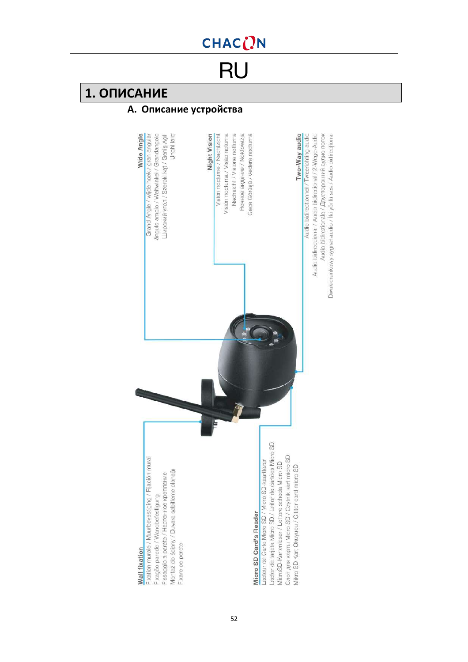# RU

## **1. ОПИСАНИЕ**

## **A. Описание устройства**

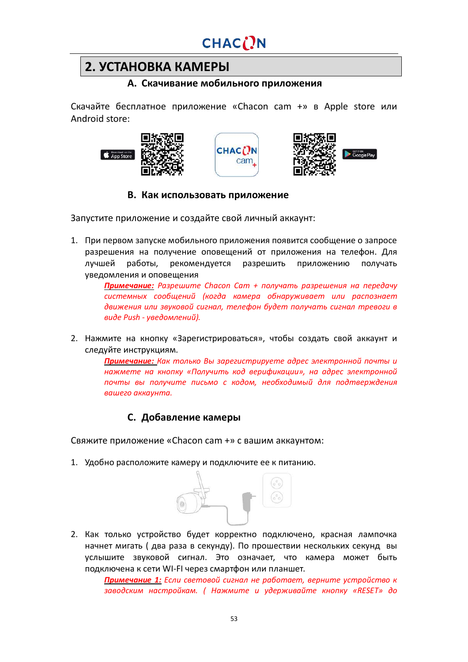## **2. УСТАНОВКА КАМЕРЫ**

#### **A. Скачивание мобильного приложения**

Скачайте бесплатное приложение «Chаcon cam +» в Apple store или Android store:







#### **B. Как использовать приложение**

Запустите приложение и создайте свой личный аккаунт:

1. При первом запуске мобильного приложения появится сообщение о запросе разрешения на получение оповещений от приложения на телефон. Для лучшей работы, рекомендуется разрешить приложению получать уведомления и оповещения

> *Примечание: Разрешите Chacon Cam + получать разрешения на передачу системных сообщений (когда камера обнаруживает или распознает движения или звуковой сигнал, телефон будет получать сигнал тревоги в виде Push - уведомлений).*

2. Нажмите на кнопку «Зарегистрироваться», чтобы создать свой аккаунт и следуйте инструкциям.

> *Примечание: Как только Вы зарегистрируете адрес электронной почты и нажмете на кнопку «Получить код верификации», на адрес электронной почты вы получите письмо с кодом, необходимый для подтверждения вашего аккаунта.*

### **C. Добавление камеры**

Свяжите приложение «Chаcon cam +» с вашим аккаунтом:

1. Удобно расположите камеру и подключите ее к питанию.



2. Как только устройство будет корректно подключено, красная лампочка начнет мигать ( два раза в секунду). По прошествии нескольких секунд вы услышите звуковой сигнал. Это означает, что камера может быть подключена к сети WI-FI через смартфон или планшет.

*Примечание 1: Если световой сигнал не работает, верните устройство к заводским настройкам. ( Нажмите и удерживайте кнопку «RESET» до*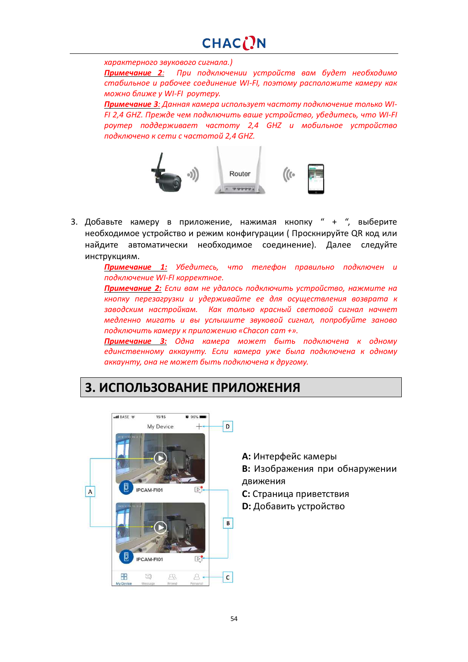*характерного звукового сигнала.)*

*Примечание 2: При подключении устройств вам будет необходимо стабильное и рабочее соединение WI-FI, поэтому расположите камеру как можно ближе у WI-FI роутеру.*

*Примечание 3: Данная камера использует частоту подключение только WI-FI 2,4 GHZ. Прежде чем подключить ваше устройство, убедитесь, что WI-FI роутер поддерживает частоту 2,4 GHZ и мобильное устройство подключено к сети с частотой 2,4 GHZ.*



3. Добавьте камеру в приложение, нажимая кнопку " + ", выберите необходимое устройство и режим конфигурации ( Проскнируйте QR код или найдите автоматически необходимое соединение). Далее следуйте инструкциям.

> *Примечание 1: Убедитесь, что телефон правильно подключен и подключение WI-FI корректное.*

> *Примечание 2: Если вам не удалось подключить устройство, нажмите на кнопку перезагрузки и удерживайте ее для осуществления возврата к заводским настройкам. Как только красный световой сигнал начнет медленно мигать и вы услышите звуковой сигнал, попробуйте заново подключить камеру к приложению «Chаcon cam +».*

> *Примечание 3: Одна камера может быть подключена к одному единственному аккаунту. Если камера уже была подключена к одному аккаунту, она не может быть подключена к другому.*

## **3. ИСПОЛЬЗОВАНИЕ ПРИЛОЖЕНИЯ**



**A:** Интерфейс камеры

**B:** Изображения при обнаружении движения

**C:** Страница приветствия

**D:** Добавить устройство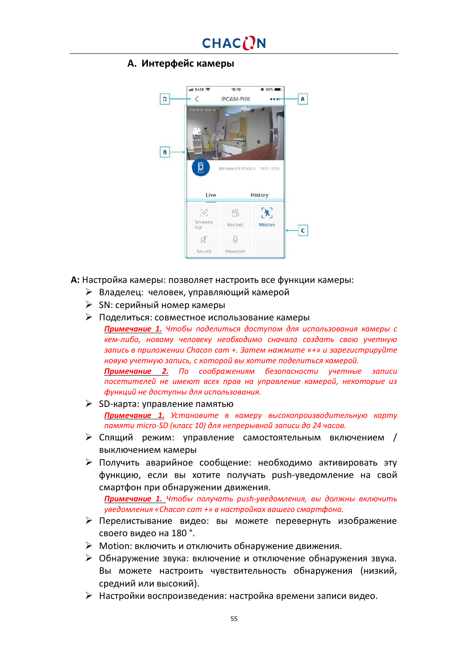#### **A. Интерфейс камеры**



**A:** Настройка камеры: позволяет настроить все функции камеры:

- Ø Владелец: человек, управляющий камерой
- $\triangleright$  SN: серийный номер камеры
- Ø Поделиться: совместное использование камеры

*Примечание 1. Чтобы поделиться доступом для использования камеры с кем-либо, новому человеку необходимо сначала создать свою учетную запись в приложении Chacon cam +. Затем нажмите «+» и зарегистрируйте новую учетную запись, с которой вы хотите поделиться камерой.*

*Примечание 2. По соображениям безопасности учетные записи посетителей не имеют всех прав на управление камерой, некоторые из функций не доступны для использования.*

- Ø SD-карта: управление памятью *Примечание 1. Установите в камеру высокопроизводительную карту памяти micro-SD (класс 10) для непрерывной записи до 24 часов.*
- $\triangleright$  Спящий режим: управление самостоятельным включением / выключением камеры
- $\triangleright$  Получить аварийное сообщение: необходимо активировать эту функцию, если вы хотите получать push-уведомление на свой смартфон при обнаружении движения.

*Примечание 1. Чтобы получать push-уведомления, вы должны включить уведомления «Chacon cam +» в настройках вашего смартфона.*

- Ø Перелистывание видео: вы можете перевернуть изображение своего видео на 180 °.
- Ø Motion: включить и отключить обнаружение движения.
- $\triangleright$  Обнаружение звука: включение и отключение обнаружения звука. Вы можете настроить чувствительность обнаружения (низкий, средний или высокий).
- Ø Настройки воспроизведения: настройка времени записи видео.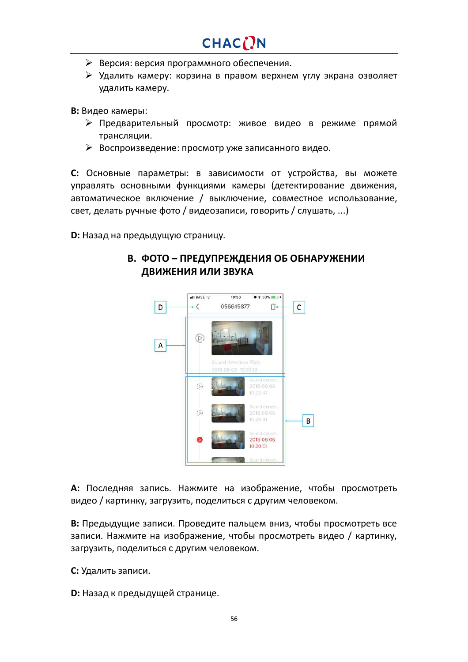- $\triangleright$  Версия: версия программного обеспечения.
- Ø Удалить камеру: корзина в правом верхнем углу экрана озволяет удалить камеру.

**B:** Видео камеры:

- Ø Предварительный просмотр: живое видео в режиме прямой трансляции.
- Ø Воспроизведение: просмотр уже записанного видео.

**C:** Основные параметры: в зависимости от устройства, вы можете управлять основными функциями камеры (детектирование движения, автоматическое включение / выключение, совместное использование, свет, делать ручные фото / видеозаписи, говорить / слушать, ...)

**D:** Назад на предыдущую страницу.

#### uti BASE 10:50  $88.63%$  = 34 D  $\langle$ 056645877  $\mathsf{C}$ Ĥ  $\circledR$  $\mathsf{A}$ 2018-08-06  $\sqrt{5}$  $B$ 2018-08-06  $0:20:01$

### **B. ФОТО – ПРЕДУПРЕЖДЕНИЯ ОБ ОБНАРУЖЕНИИ ДВИЖЕНИЯ ИЛИ ЗВУКА**

**A:** Последняя запись. Нажмите на изображение, чтобы просмотреть видео / картинку, загрузить, поделиться c другим человеком.

**B:** Предыдущие записи. Проведите пальцем вниз, чтобы просмотреть все записи. Нажмите на изображение, чтобы просмотреть видео / картинку, загрузить, поделиться с другим человеком.

**C:** Удалить записи.

**D:** Назад к предыдущей странице.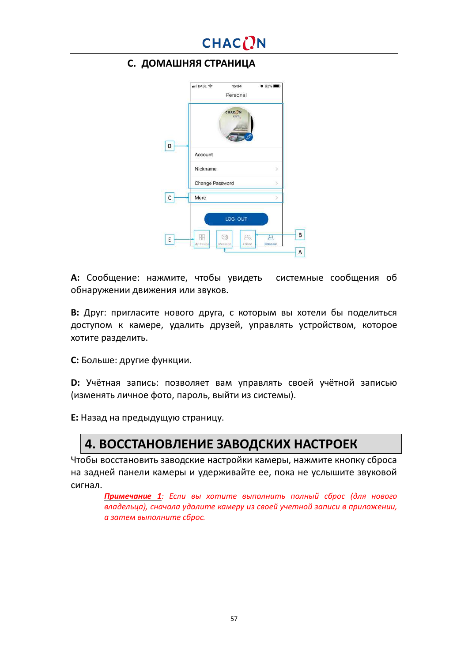

#### **C. ДОМАШНЯЯ СТРАНИЦА**

|   | BASE 중<br>15:34<br>Personal | $0.92\%$ <b>mm</b>                      |  |
|---|-----------------------------|-----------------------------------------|--|
|   | CHAC( <sup>N</sup><br>cam.  |                                         |  |
| D | Account                     |                                         |  |
|   | Nickname                    | 5                                       |  |
|   | Change Password             |                                         |  |
| c | More                        |                                         |  |
|   | LOG OUT                     |                                         |  |
| E | g<br>My Device<br>Meesage   | $\mathbb{R}$<br>∼<br>Personal<br>Friend |  |
|   |                             |                                         |  |

**A:** Сообщение: нажмите, чтобы увидеть системные сообщения об обнаружении движения или звуков.

**B:** Друг: пригласите нового друга, с которым вы хотели бы поделиться доступом к камере, удалить друзей, управлять устройством, которое хотите разделить.

**C:** Больше: другие функции.

**D:** Учётная запись: позволяет вам управлять своей учётной записью (изменять личное фото, пароль, выйти из системы).

**E:** Назад на предыдущую страницу.

## **4. ВОССТАНОВЛЕНИЕ ЗАВОДСКИХ НАСТРОЕК**

Чтобы восстановить заводские настройки камеры, нажмите кнопку сброса на задней панели камеры и удерживайте ее, пока не услышите звуковой сигнал.

*Примечание 1: Если вы хотите выполнить полный сброс (для нового владельца), сначала удалите камеру из своей учетной записи в приложении, а затем выполните сброс.*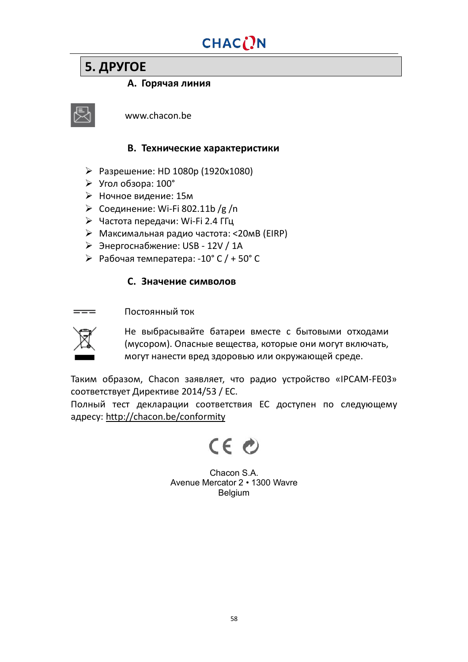## **5. ДРУГОЕ**

#### **A. Горячая линия**



www.chacon.be

#### **B. Технические характеристики**

- Ø Разрешение: HD 1080p (1920x1080)
- $\triangleright$  Угол обзора: 100°
- Ø Ночное видение: 15м
- Ø Соединение: Wi-Fi 802.11b /g /n
- Ø Частота передачи: Wi-Fi 2.4 ГГц
- $\triangleright$  Максимальная радио частота: <20мВ (EIRP)
- $\triangleright$  Энергоснабжение: USB 12V / 1A
- Ø Рабочая температера: -10° C / + 50° C

#### **C. Значение символов**

Постоянный ток  $=$ 



Не выбрасывайте батареи вместе с бытовыми отходами (мусором). Опасные вещества, которые они могут включать, могут нанести вред здоровью или окружающей среде.

Таким образом, Chacon заявляет, что радио устройство «IPCAM-FE03» соответствует Директиве 2014/53 / ЕС.

Полный тест декларации соответствия ЕС доступен по следующему адресу: <http://chacon.be/conformity>

# $CE$

Chacon S.A. Avenue Mercator 2 • 1300 Wavre Belgium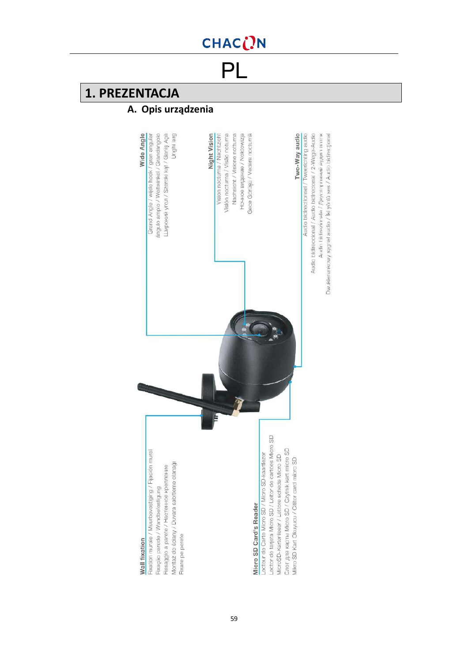PL

## **1. PREZENTACJA**

## **A. Opis urządzenia**

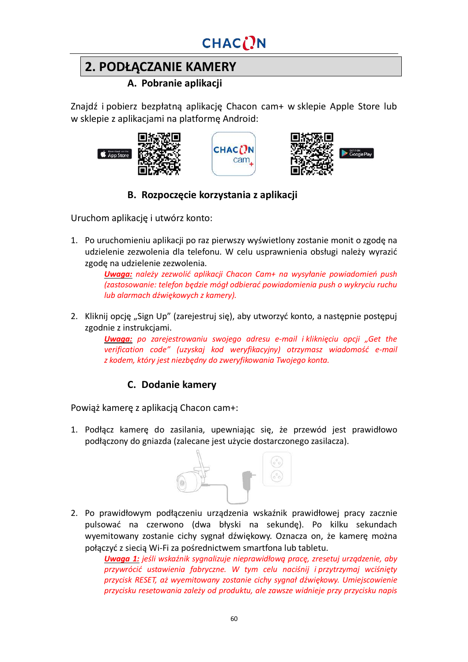## **2. PODŁĄCZANIE KAMERY**

### **A. Pobranie aplikacji**

Znajdź i pobierz bezpłatną aplikację Chacon cam+ w sklepie Apple Store lub w sklepie z aplikacjami na platformę Android:







## **B. Rozpoczęcie korzystania z aplikacji**

Uruchom aplikację i utwórz konto:

1. Po uruchomieniu aplikacji po raz pierwszy wyświetlony zostanie monit o zgodę na udzielenie zezwolenia dla telefonu. W celu usprawnienia obsługi należy wyrazić zgodę na udzielenie zezwolenia.

*Uwaga: należy zezwolić aplikacji Chacon Cam+ na wysyłanie powiadomień push (zastosowanie: telefon będzie mógł odbierać powiadomienia push o wykryciu ruchu lub alarmach dźwiękowych z kamery).*

2. Kliknij opcję "Sign Up" (zarejestruj się), aby utworzyć konto, a następnie postępuj zgodnie z instrukcjami.

*Uwaga: po zarejestrowaniu swojego adresu e-mail i kliknięciu opcji "Get the verification code" (uzyskaj kod weryfikacyjny) otrzymasz wiadomość e-mail z kodem, który jest niezbędny do zweryfikowania Twojego konta.*

## **C. Dodanie kamery**

Powiąż kamerę z aplikacją Chacon cam+:

1. Podłącz kamerę do zasilania, upewniając się, że przewód jest prawidłowo podłączony do gniazda (zalecane jest użycie dostarczonego zasilacza).



2. Po prawidłowym podłączeniu urządzenia wskaźnik prawidłowej pracy zacznie pulsować na czerwono (dwa błyski na sekundę). Po kilku sekundach wyemitowany zostanie cichy sygnał dźwiękowy. Oznacza on, że kamerę można połączyć z siecią Wi-Fi za pośrednictwem smartfona lub tabletu.

*Uwaga 1: jeśli wskaźnik sygnalizuje nieprawidłową pracę, zresetuj urządzenie, aby przywrócić ustawienia fabryczne. W tym celu naciśnij i przytrzymaj wciśnięty przycisk RESET, aż wyemitowany zostanie cichy sygnał dźwiękowy. Umiejscowienie przycisku resetowania zależy od produktu, ale zawsze widnieje przy przycisku napis*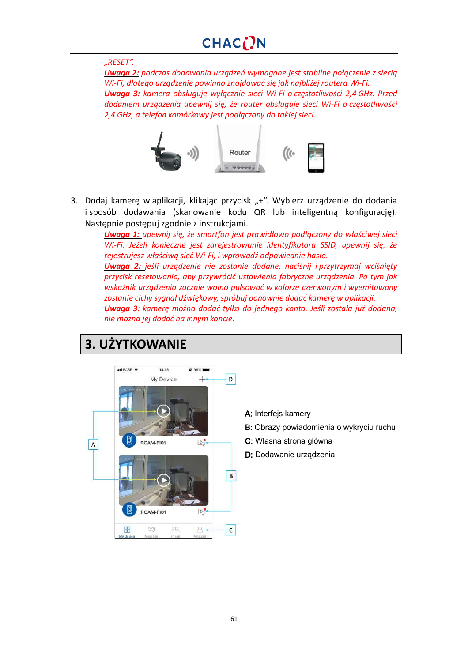#### *"RESET".*

*Uwaga 2: podczas dodawania urządzeń wymagane jest stabilne połączenie z siecią Wi-Fi, dlatego urządzenie powinno znajdować się jak najbliżej routera Wi-Fi. Uwaga 3: kamera obsługuje wyłącznie sieci Wi-Fi o częstotliwości 2,4 GHz. Przed dodaniem urządzenia upewnij się, że router obsługuje sieci Wi-Fi o częstotliwości 2,4 GHz, a telefon komórkowy jest podłączony do takiej sieci.*



3. Dodaj kamerę w aplikacji, klikając przycisk "+". Wybierz urządzenie do dodania i sposób dodawania (skanowanie kodu QR lub inteligentną konfigurację). Następnie postępuj zgodnie z instrukcjami.

*Uwaga 1: upewnij się, że smartfon jest prawidłowo podłączony do właściwej sieci Wi-Fi. Jeżeli konieczne jest zarejestrowanie identyfikatora SSID, upewnij się, że rejestrujesz właściwą sieć Wi-Fi, i wprowadź odpowiednie hasło. Uwaga 2: jeśli urządzenie nie zostanie dodane, naciśnij i przytrzymaj wciśnięty przycisk resetowania, aby przywrócić ustawienia fabryczne urządzenia. Po tym jak*

*wskaźnik urządzenia zacznie wolno pulsować w kolorze czerwonym i wyemitowany zostanie cichy sygnał dźwiękowy, spróbuj ponownie dodać kamerę w aplikacji. Uwaga 3: kamerę można dodać tylko do jednego konta. Jeśli została już dodana, nie można jej dodać na innym koncie.*

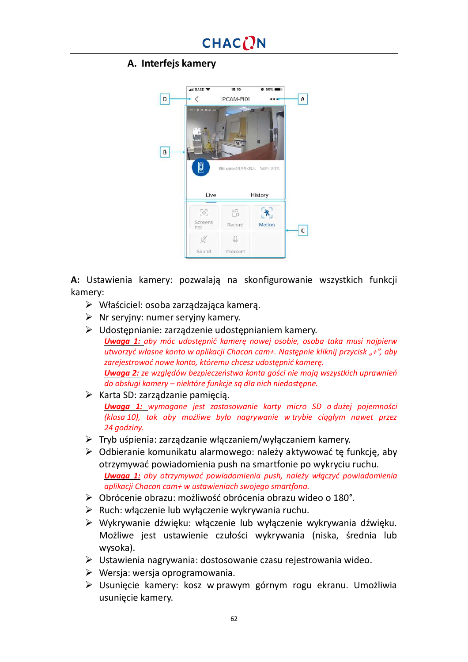### **A. Interfejs kamery**



**A:** Ustawienia kamery: pozwalają na skonfigurowanie wszystkich funkcji kamery:

- Ø Właściciel: osoba zarządzająca kamerą.
- $\triangleright$  Nr seryjny: numer seryjny kamery.
- $\triangleright$  Udostępnianie: zarządzenie udostępnianiem kamery. *Uwaga 1: aby móc udostępnić kamerę nowej osobie, osoba taka musi najpierw utworzyć własne konto w aplikacji Chacon cam+. Następnie kliknij przycisk "+", aby zarejestrować nowe konto, któremu chcesz udostępnić kamerę. Uwaga 2: ze względów bezpieczeństwa konta gości nie mają wszystkich uprawnień do obsługi kamery – niektóre funkcje są dla nich niedostępne.*
- $\triangleright$  Karta SD: zarządzanie pamięcią.

*Uwaga 1: wymagane jest zastosowanie karty micro SD o dużej pojemności (klasa 10), tak aby możliwe było nagrywanie w trybie ciągłym nawet przez 24 godziny.*

- $\triangleright$  Tryb uśpienia: zarządzanie włączaniem/wyłączaniem kamery.
- $\triangleright$  Odbieranie komunikatu alarmowego: należy aktywować te funkcje, aby otrzymywać powiadomienia push na smartfonie po wykryciu ruchu. *Uwaga 1: aby otrzymywać powiadomienia push, należy włączyć powiadomienia aplikacji Chacon cam+ w ustawieniach swojego smartfona.*
- Ø Obrócenie obrazu: możliwość obrócenia obrazu wideo o 180°.
- $\triangleright$  Ruch: włączenie lub wyłączenie wykrywania ruchu.
- Ø Wykrywanie dźwięku: włączenie lub wyłączenie wykrywania dźwięku. Możliwe jest ustawienie czułości wykrywania (niska, średnia lub wysoka).
- $\triangleright$  Ustawienia nagrywania: dostosowanie czasu rejestrowania wideo.
- $\triangleright$  Wersia: wersia oprogramowania.
- Ø Usunięcie kamery: kosz w prawym górnym rogu ekranu. Umożliwia usunięcie kamery.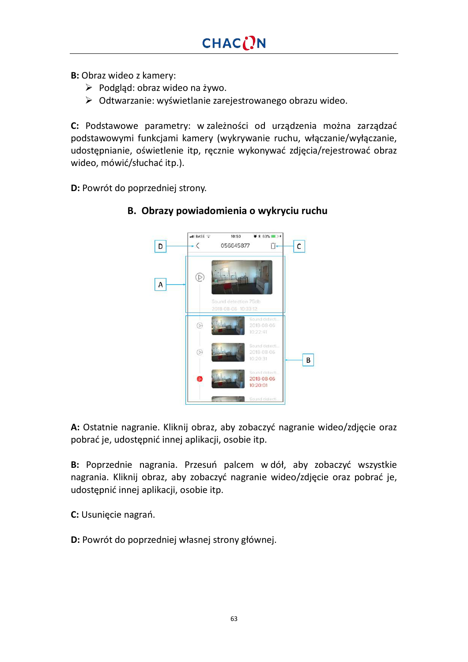**B:** Obraz wideo z kamery:

- $\triangleright$  Podgląd: obraz wideo na żywo.
- $\triangleright$  Odtwarzanie: wyświetlanie zarejestrowanego obrazu wideo.

**C:** Podstawowe parametry: w zależności od urządzenia można zarządzać podstawowymi funkcjami kamery (wykrywanie ruchu, włączanie/wyłączanie, udostępnianie, oświetlenie itp, ręcznie wykonywać zdjęcia/rejestrować obraz wideo, mówić/słuchać itp.).

**D:** Powrót do poprzedniej strony.



### **B. Obrazy powiadomienia o wykryciu ruchu**

**A:** Ostatnie nagranie. Kliknij obraz, aby zobaczyć nagranie wideo/zdjęcie oraz pobrać je, udostępnić innej aplikacji, osobie itp.

**B:** Poprzednie nagrania. Przesuń palcem w dół, aby zobaczyć wszystkie nagrania. Kliknij obraz, aby zobaczyć nagranie wideo/zdjęcie oraz pobrać je, udostępnić innej aplikacji, osobie itp.

**C:** Usunięcie nagrań.

**D:** Powrót do poprzedniej własnej strony głównej.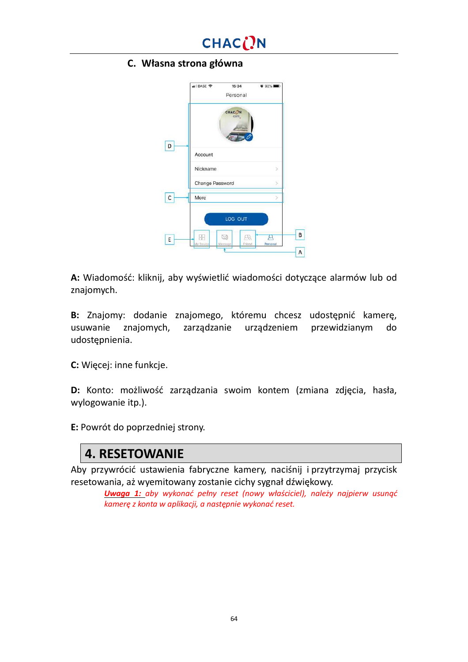

#### **C. Własna strona główna**

|    | . Il BASE 중<br>15:34<br>Personal | <b>0 92% DM</b>              |
|----|----------------------------------|------------------------------|
|    | CHAC <sub>(N</sub><br>cam.       |                              |
| D  | Account                          |                              |
|    | Nickname                         | 5                            |
|    | Change Password                  |                              |
| с  | More                             |                              |
|    | LOG OUT                          |                              |
| E. | g<br>My Device<br>Meesage        | R<br>д<br>Personal<br>Friend |
|    |                                  |                              |

**A:** Wiadomość: kliknij, aby wyświetlić wiadomości dotyczące alarmów lub od znajomych.

**B:** Znajomy: dodanie znajomego, któremu chcesz udostępnić kamerę, usuwanie znajomych, zarządzanie urządzeniem przewidzianym do udostępnienia.

**C:** Więcej: inne funkcje.

**D:** Konto: możliwość zarządzania swoim kontem (zmiana zdjęcia, hasła, wylogowanie itp.).

**E:** Powrót do poprzedniej strony.

## **4. RESETOWANIE**

Aby przywrócić ustawienia fabryczne kamery, naciśnij i przytrzymaj przycisk resetowania, aż wyemitowany zostanie cichy sygnał dźwiękowy.

*Uwaga 1: aby wykonać pełny reset (nowy właściciel), należy najpierw usunąć kamerę z konta w aplikacji, a następnie wykonać reset.*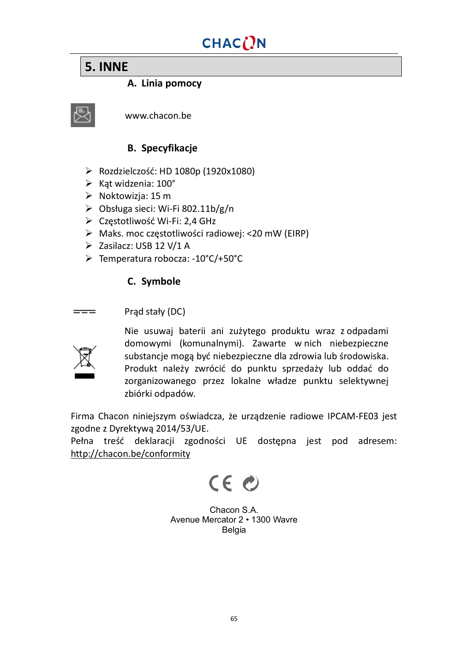## **5. INNE**

### **A. Linia pomocy**



www.chacon.be

## **B. Specyfikacje**

- Ø Rozdzielczość: HD 1080p (1920x1080)
- $\triangleright$  Kąt widzenia: 100°
- $\triangleright$  Noktowizia: 15 m
- $\triangleright$  Obsługa sieci: Wi-Fi 802.11b/g/n
- Ø Częstotliwość Wi-Fi: 2,4 GHz
- Ø Maks. moc częstotliwości radiowej: <20 mW (EIRP)
- Ø Zasilacz: USB 12 V/1 A
- Ø Temperatura robocza: -10°C/+50°C

### **C. Symbole**

Prąd stały (DC)  $=$ 



Nie usuwaj baterii ani zużytego produktu wraz z odpadami domowymi (komunalnymi). Zawarte w nich niebezpieczne substancje mogą być niebezpieczne dla zdrowia lub środowiska. Produkt należy zwrócić do punktu sprzedaży lub oddać do zorganizowanego przez lokalne władze punktu selektywnej zbiórki odpadów.

Firma Chacon niniejszym oświadcza, że urządzenie radiowe IPCAM-FE03 jest zgodne z Dyrektywą 2014/53/UE.

Pełna treść deklaracji zgodności UE dostępna jest pod adresem: <http://chacon.be/conformity>

 $CE<sub>c</sub>$ 

Chacon S.A. Avenue Mercator 2 • 1300 Wavre Belgia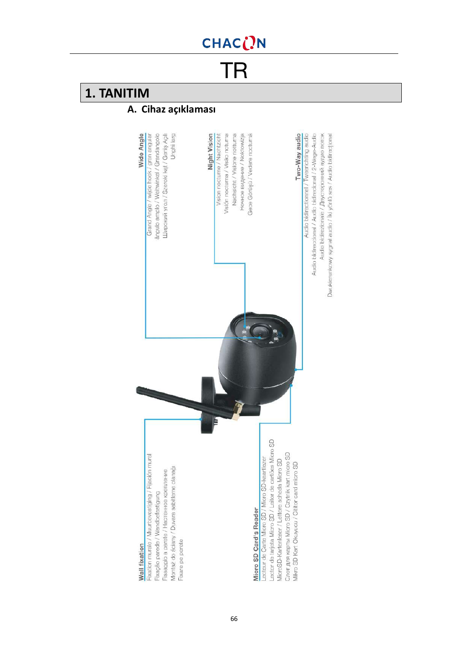TR

## **1. TANITIM**

## **A. Cihaz açıklaması**

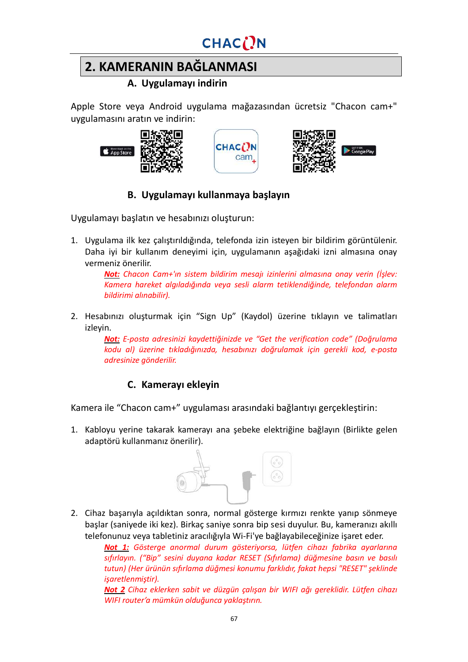## **2. KAMERANIN BAĞLANMASI**

## **A. Uygulamayı indirin**

Apple Store veya Android uygulama mağazasından ücretsiz "Chacon cam+" uygulamasını aratın ve indirin:







## **B. Uygulamayı kullanmaya başlayın**

Uygulamayı başlatın ve hesabınızı oluşturun:

1. Uygulama ilk kez çalıştırıldığında, telefonda izin isteyen bir bildirim görüntülenir. Daha iyi bir kullanım deneyimi için, uygulamanın aşağıdaki izni almasına onay vermeniz önerilir.

> *Not: Chacon Cam+'ın sistem bildirim mesajı izinlerini almasına onay verin (İşlev: Kamera hareket algıladığında veya sesli alarm tetiklendiğinde, telefondan alarm bildirimi alınabilir).*

2. Hesabınızı oluşturmak için "Sign Up" (Kaydol) üzerine tıklayın ve talimatları izleyin.

> *Not: E-posta adresinizi kaydettiğinizde ve "Get the verification code" (Doğrulama kodu al) üzerine tıkladığınızda, hesabınızı doğrulamak için gerekli kod, e-posta adresinize gönderilir.*

### **C. Kamerayı ekleyin**

Kamera ile "Chacon cam+" uygulaması arasındaki bağlantıyı gerçekleştirin:

1. Kabloyu yerine takarak kamerayı ana şebeke elektriğine bağlayın (Birlikte gelen adaptörü kullanmanız önerilir).



2. Cihaz başarıyla açıldıktan sonra, normal gösterge kırmızı renkte yanıp sönmeye başlar (saniyede iki kez). Birkaç saniye sonra bip sesi duyulur. Bu, kameranızı akıllı telefonunuz veya tabletiniz aracılığıyla Wi-Fi'ye bağlayabileceğinize işaret eder.

*Not 1: Gösterge anormal durum gösteriyorsa, lütfen cihazı fabrika ayarlarına sıfırlayın. ("Bip" sesini duyana kadar RESET (Sıfırlama) düğmesine basın ve basılı tutun) (Her ürünün sıfırlama düğmesi konumu farklıdır, fakat hepsi "RESET" şeklinde işaretlenmiştir).*

*Not 2 Cihaz eklerken sabit ve düzgün çalışan bir WIFI ağı gereklidir. Lütfen cihazı WIFI router'a mümkün olduğunca yaklaştırın.*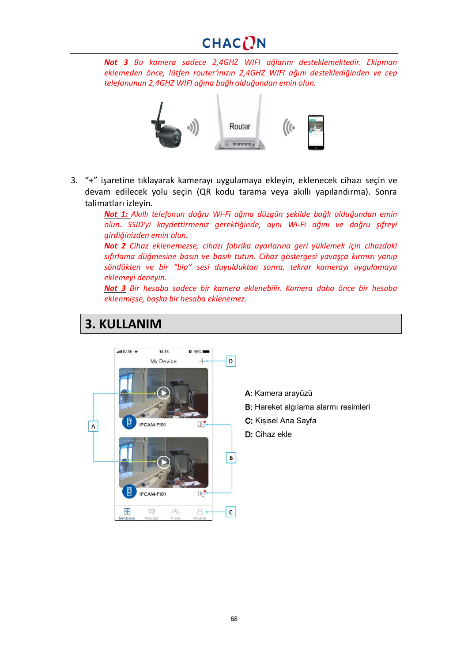## CHACON

*Not 3 Bu kamera sadece 2,4GHZ WIFI ağlarını desteklemektedir. Ekipman eklemeden önce, lütfen router'ınızın 2,4GHZ WIFI ağını desteklediğinden ve cep telefonunun 2,4GHZ WIFI ağına bağlı olduğundan emin olun.*



3. "+" işaretine tıklayarak kamerayı uygulamaya ekleyin, eklenecek cihazı seçin ve devam edilecek yolu seçin (QR kodu tarama veya akıllı yapılandırma). Sonra talimatları izleyin.

> *Not 1: Akıllı telefonun doğru Wi-Fi ağına düzgün şekilde bağlı olduğundan emin olun. SSID'yi kaydettirmeniz gerektiğinde, aynı Wi-Fi ağını ve doğru şifreyi girdiğinizden emin olun.*

> *Not 2 Cihaz eklenemezse, cihazı fabrika ayarlarına geri yüklemek için cihazdaki sıfırlama düğmesine basın ve basılı tutun. Cihaz göstergesi yavaşça kırmızı yanıp söndükten ve bir "bip" sesi duyulduktan sonra, tekrar kamerayı uygulamaya eklemeyi deneyin.*

> *Not 3 Bir hesaba sadece bir kamera eklenebilir. Kamera daha önce bir hesaba eklenmişse, başka bir hesaba eklenemez.*

## **3. KULLANIM**

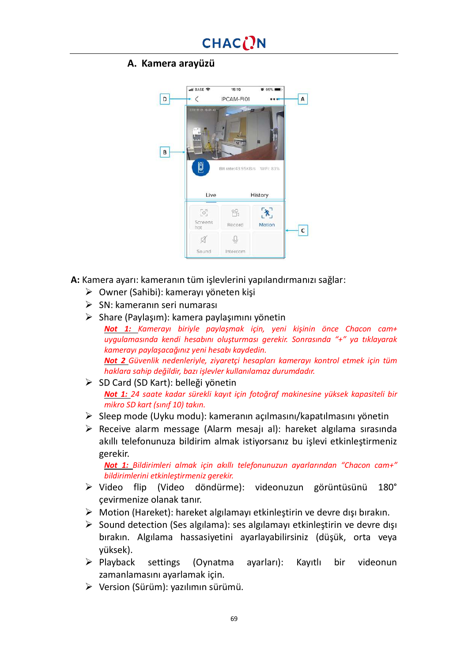#### **A. Kamera arayüzü**



**A:** Kamera ayarı: kameranın tüm işlevlerini yapılandırmanızı sağlar:

- $\triangleright$  Owner (Sahibi): kamerayı yöneten kişi
- $\triangleright$  SN: kameranın seri numarası
- $\triangleright$  Share (Paylaşım): kamera paylaşımını yönetin
- *Not 1: Kamerayı biriyle paylaşmak için, yeni kişinin önce Chacon cam+ uygulamasında kendi hesabını oluşturması gerekir. Sonrasında "+" ya tıklayarak kamerayı paylaşacağınız yeni hesabı kaydedin. Not 2 Güvenlik nedenleriyle, ziyaretçi hesapları kamerayı kontrol etmek için tüm haklara sahip değildir, bazı işlevler kullanılamaz durumdadır.*
- Ø SD Card (SD Kart): belleği yönetin *Not 1: 24 saate kadar sürekli kayıt için fotoğraf makinesine yüksek kapasiteli bir mikro SD kart (sınıf 10) takın.*
- $\triangleright$  Sleep mode (Uyku modu): kameranın açılmasını/kapatılmasını yönetin
- $\triangleright$  Receive alarm message (Alarm mesajı al): hareket algılama sırasında akıllı telefonunuza bildirim almak istiyorsanız bu işlevi etkinleştirmeniz gerekir.

*Not 1: Bildirimleri almak için akıllı telefonunuzun ayarlarından "Chacon cam+" bildirimlerini etkinleştirmeniz gerekir.*

- Ø Video flip (Video döndürme): videonuzun görüntüsünü 180° çevirmenize olanak tanır.
- $\triangleright$  Motion (Hareket): hareket algılamayı etkinleştirin ve devre dışı bırakın.
- $\triangleright$  Sound detection (Ses algılama): ses algılamayı etkinleştirin ve devre dışı bırakın. Algılama hassasiyetini ayarlayabilirsiniz (düşük, orta veya yüksek).
- Ø Playback settings (Oynatma ayarları): Kayıtlı bir videonun zamanlamasını ayarlamak için.
- $\triangleright$  Version (Sürüm): yazılımın sürümü.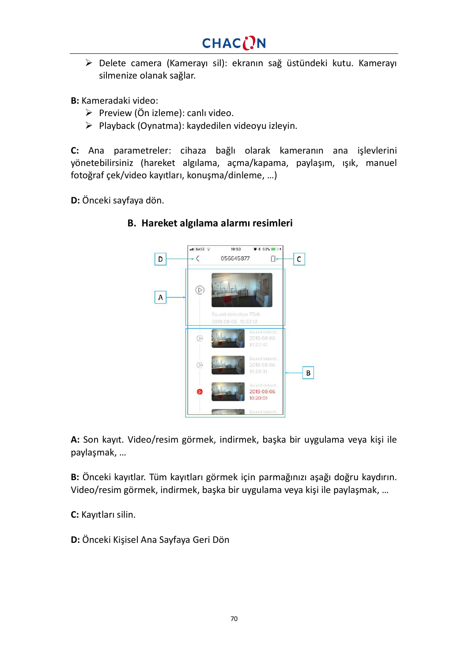Ø Delete camera (Kamerayı sil): ekranın sağ üstündeki kutu. Kamerayı silmenize olanak sağlar.

**B:** Kameradaki video:

- $\triangleright$  Preview (Ön izleme): canlı video.
- $\triangleright$  Playback (Oynatma): kaydedilen videoyu izleyin.

**C:** Ana parametreler: cihaza bağlı olarak kameranın ana işlevlerini yönetebilirsiniz (hareket algılama, açma/kapama, paylaşım, ışık, manuel fotoğraf çek/video kayıtları, konuşma/dinleme, …)

**D:** Önceki sayfaya dön.



### **B. Hareket algılama alarmı resimleri**

**A:** Son kayıt. Video/resim görmek, indirmek, başka bir uygulama veya kişi ile paylaşmak, …

**B:** Önceki kayıtlar. Tüm kayıtları görmek için parmağınızı aşağı doğru kaydırın. Video/resim görmek, indirmek, başka bir uygulama veya kişi ile paylaşmak, …

**C:** Kayıtları silin.

**D:** Önceki Kişisel Ana Sayfaya Geri Dön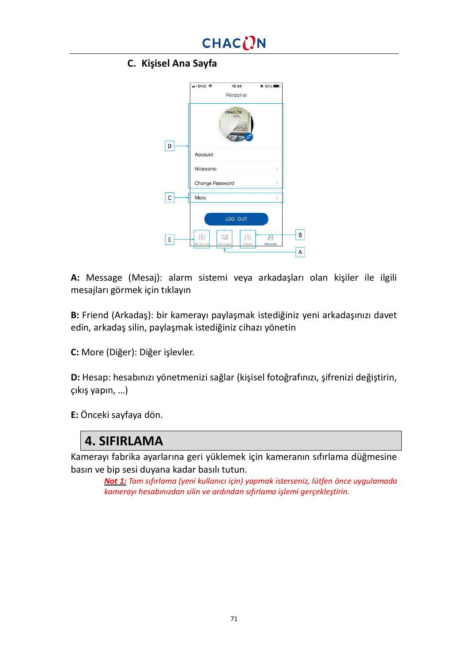## CHACON

## **C. Kişisel Ana Sayfa**

|    | BASE 주<br>15:34<br>Personal | $0.92\%$                           |
|----|-----------------------------|------------------------------------|
|    | CHAC( <sup>N</sup><br>cam.  |                                    |
| D  | Account                     |                                    |
|    | Nickname                    | Ś                                  |
|    | Change Password             |                                    |
| C  | More                        |                                    |
|    | LOG OUT                     |                                    |
| E. | 립<br>My Device<br>Meesage   | $\mathbb{R}$<br>Personal<br>Friend |
|    |                             |                                    |

**A:** Message (Mesaj): alarm sistemi veya arkadaşları olan kişiler ile ilgili mesajları görmek için tıklayın

**B:** Friend (Arkadaş): bir kamerayı paylaşmak istediğiniz yeni arkadaşınızı davet edin, arkadaş silin, paylaşmak istediğiniz cihazı yönetin

**C:** More (Diğer): Diğer işlevler.

**D:** Hesap: hesabınızı yönetmenizi sağlar (kişisel fotoğrafınızı, şifrenizi değiştirin, çıkış yapın, …)

**E:** Önceki sayfaya dön.

## **4. SIFIRLAMA**

Kamerayı fabrika ayarlarına geri yüklemek için kameranın sıfırlama düğmesine basın ve bip sesi duyana kadar basılı tutun.

*Not 1: Tam sıfırlama (yeni kullanıcı için) yapmak isterseniz, lütfen önce uygulamada kamerayı hesabınızdan silin ve ardından sıfırlama işlemi gerçekleştirin.*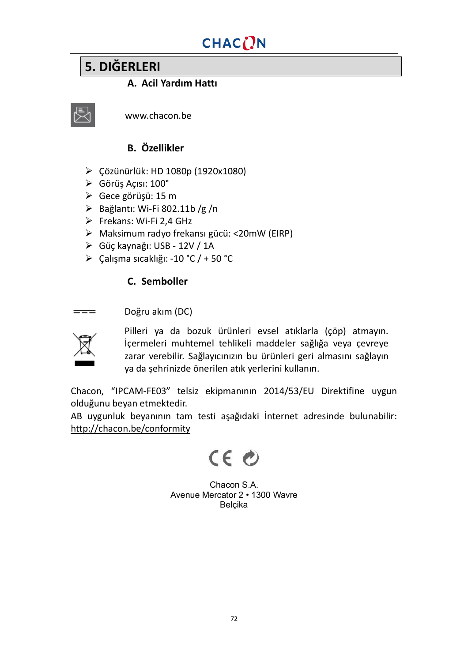## **5. DIĞERLERI**

## **A. Acil Yardım Hattı**



www.chacon.be

## **B. Özellikler**

- Ø Çözünürlük: HD 1080p (1920x1080)
- Ø Görüş Açısı: 100°
- Ø Gece görüşü: 15 m
- $\triangleright$  Bağlantı: Wi-Fi 802.11b /g /n
- Ø Frekans: Wi-Fi 2,4 GHz
- Ø Maksimum radyo frekansı gücü: <20mW (EIRP)
- Ø Güç kaynağı: USB 12V / 1A
- Ø Çalışma sıcaklığı: -10 °C / + 50 °C

### **C. Semboller**

#### Doğru akım (DC)



Pilleri ya da bozuk ürünleri evsel atıklarla (çöp) atmayın. İçermeleri muhtemel tehlikeli maddeler sağlığa veya çevreye zarar verebilir. Sağlayıcınızın bu ürünleri geri almasını sağlayın ya da şehrinizde önerilen atık yerlerini kullanın.

Chacon, "IPCAM-FE03" telsiz ekipmanının 2014/53/EU Direktifine uygun olduğunu beyan etmektedir.

AB uygunluk beyanının tam testi aşağıdaki İnternet adresinde bulunabilir: <http://chacon.be/conformity>

 $CE$ 

Chacon S.A. Avenue Mercator 2 • 1300 Wavre Belçika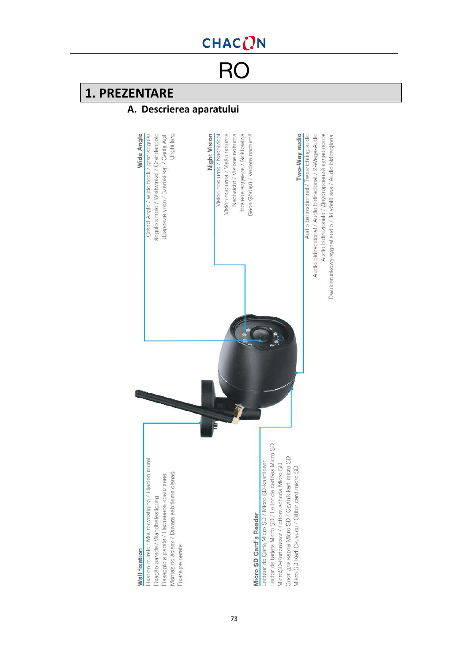# CHAC()N

RO

## **1. PREZENTARE**

### **A. Descrierea aparatului**

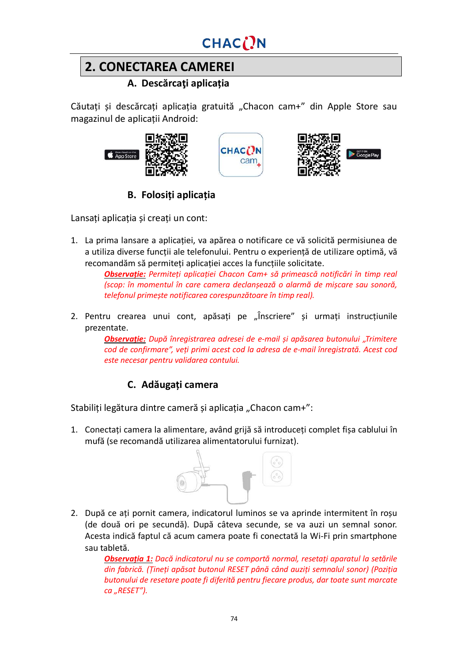# CHAC()N

# **2. CONECTAREA CAMEREI**

#### **A. Descărcaţi aplicația**

Căutați și descărcați aplicația gratuită "Chacon cam+" din Apple Store sau magazinul de aplicații Android:







### **B. Folosiți aplicația**

Lansați aplicația și creați un cont:

1. La prima lansare a aplicației, va apărea o notificare ce vă solicită permisiunea de a utiliza diverse funcții ale telefonului. Pentru o experiență de utilizare optimă, vă recomandăm să permiteți aplicației acces la funcțiile solicitate.

> *Observație: Permiteți aplicației Chacon Cam+ să primească notificări în timp real (scop: în momentul în care camera declanșează o alarmă de mișcare sau sonoră, telefonul primește notificarea corespunzătoare în timp real).*

2. Pentru crearea unui cont, apăsați pe "Înscriere" și urmați instrucțiunile prezentate.

*Observație: După înregistrarea adresei de e-mail și apăsarea butonului "Trimitere cod de confirmare", veți primi acest cod la adresa de e-mail înregistrată. Acest cod este necesar pentru validarea contului.*

### **C. Adăugați camera**

Stabiliți legătura dintre cameră și aplicația "Chacon cam+":

1. Conectați camera la alimentare, având grijă să introduceți complet fișa cablului în mufă (se recomandă utilizarea alimentatorului furnizat).



2. După ce ați pornit camera, indicatorul luminos se va aprinde intermitent în roșu (de două ori pe secundă). După câteva secunde, se va auzi un semnal sonor. Acesta indică faptul că acum camera poate fi conectată la Wi-Fi prin smartphone sau tabletă.

*Observația 1: Dacă indicatorul nu se comportă normal, resetați aparatul la setările din fabrică. (Țineți apăsat butonul RESET până când auziți semnalul sonor) (Poziția butonului de resetare poate fi diferită pentru fiecare produs, dar toate sunt marcate ca "RESET").*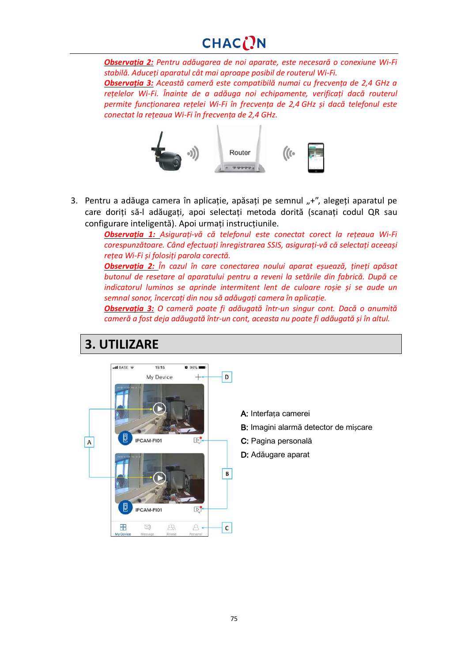# CHACON

*Observația 2: Pentru adăugarea de noi aparate, este necesară o conexiune Wi-Fi stabilă. Aduceți aparatul cât mai aproape posibil de routerul Wi-Fi.*

*Observația 3: Această cameră este compatibilă numai cu frecvența de 2,4 GHz a rețelelor Wi-Fi. Înainte de a adăuga noi echipamente, verificați dacă routerul permite funcționarea rețelei Wi-Fi în frecvența de 2,4 GHz și dacă telefonul este conectat la rețeaua Wi-Fi în frecvența de 2,4 GHz.*



3. Pentru a adăuga camera în aplicație, apăsați pe semnul  $+^{\prime\prime}$ , alegeți aparatul pe care doriți să-l adăugați, apoi selectați metoda dorită (scanați codul QR sau configurare inteligentă). Apoi urmați instrucțiunile.

> *Observația 1: Asigurați-vă că telefonul este conectat corect la rețeaua Wi-Fi corespunzătoare. Când efectuați înregistrarea SSIS, asigurați-vă că selectați aceeași rețea Wi-Fi și folosiți parola corectă.*

> *Observația 2: În cazul în care conectarea noului aparat eșuează, țineți apăsat butonul de resetare al aparatului pentru a reveni la setările din fabrică. După ce indicatorul luminos se aprinde intermitent lent de culoare roșie și se aude un semnal sonor, încercați din nou să adăugați camera în aplicație.*

> *Observația 3: O cameră poate fi adăugată într-un singur cont. Dacă o anumită cameră a fost deja adăugată într-un cont, aceasta nu poate fi adăugată și în altul.*

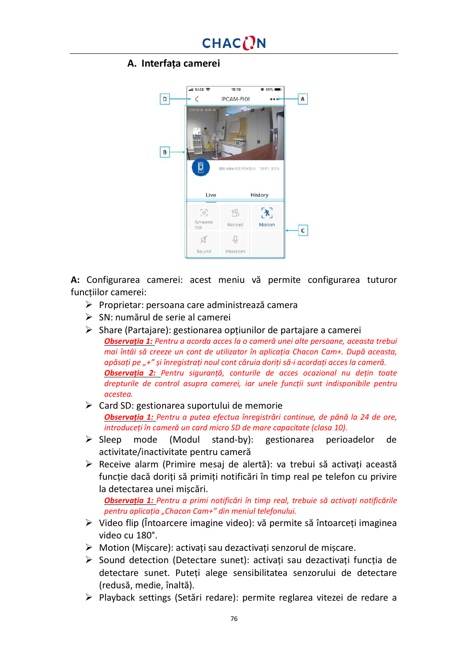#### **A. Interfața camerei**



**A:** Configurarea camerei: acest meniu vă permite configurarea tuturor funcțiilor camerei:

- Ø Proprietar: persoana care administrează camera
- $\triangleright$  SN: numărul de serie al camerei
- $\triangleright$  Share (Partajare): gestionarea opțiunilor de partajare a camerei *Observația 1: Pentru a acorda acces la o cameră unei alte persoane, aceasta trebui mai întâi să creeze un cont de utilizator în aplicația Chacon Cam+. După aceasta, apăsați pe "+" și înregistrați noul cont căruia doriți să-i acordați acces la cameră. Observația 2: Pentru siguranță, conturile de acces ocazional nu dețin toate drepturile de control asupra camerei, iar unele funcții sunt indisponibile pentru acestea.*
- $\triangleright$  Card SD: gestionarea suportului de memorie *Observația 1: Pentru a putea efectua înregistrări continue, de până la 24 de ore, introduceți în cameră un card micro SD de mare capacitate (clasa 10).*
- Ø Sleep mode (Modul stand-by): gestionarea perioadelor de activitate/inactivitate pentru cameră
- $\triangleright$  Receive alarm (Primire mesaj de alertă): va trebui să activați această funcție dacă doriți să primiți notificări în timp real pe telefon cu privire la detectarea unei mișcări.

*Observația 1: Pentru a primi notificări în timp real, trebuie să activați notificările pentru aplicația "Chacon Cam+" din meniul telefonului.*

- $\triangleright$  Video flip (Întoarcere imagine video): vă permite să întoarceți imaginea video cu 180°.
- $\triangleright$  Motion (Miscare): activați sau dezactivați senzorul de mișcare.
- $\triangleright$  Sound detection (Detectare sunet): activați sau dezactivați funcția de detectare sunet. Puteți alege sensibilitatea senzorului de detectare (redusă, medie, înaltă).
- Ø Playback settings (Setări redare): permite reglarea vitezei de redare a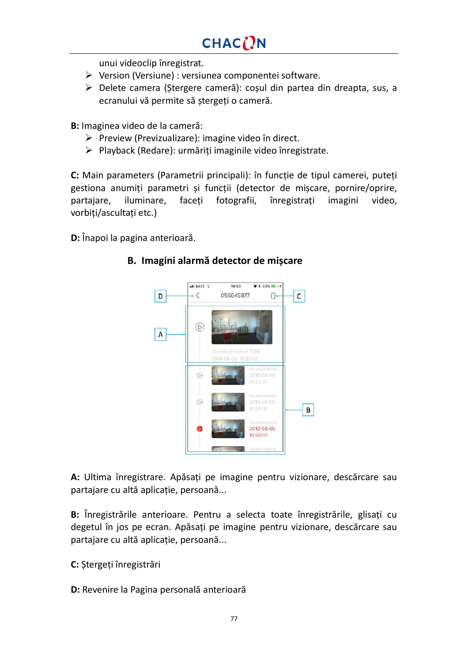unui videoclip înregistrat.

- $\triangleright$  Version (Versiune) : versiunea componentei software.
- Ø Delete camera (Ștergere cameră): coșul din partea din dreapta, sus, a ecranului vă permite să ștergeți o cameră.

**B:** Imaginea video de la cameră:

- $\triangleright$  Preview (Previzualizare): imagine video în direct.
- $\triangleright$  Playback (Redare): urmăriți imaginile video înregistrate.

**C:** Main parameters (Parametrii principali): în funcție de tipul camerei, puteți gestiona anumiți parametri și funcții (detector de mișcare, pornire/oprire, partajare, iluminare, faceți fotografii, înregistrați imagini video, vorbiți/ascultați etc.)

**D:** Înapoi la pagina anterioară.

#### **B. Imagini alarmă detector de mișcare**



**A:** Ultima înregistrare. Apăsați pe imagine pentru vizionare, descărcare sau partajare cu altă aplicație, persoană...

**B:** Înregistrările anterioare. Pentru a selecta toate înregistrările, glisați cu degetul în jos pe ecran. Apăsați pe imagine pentru vizionare, descărcare sau partajare cu altă aplicație, persoană...

**C:** Ștergeți înregistrări

**D:** Revenire la Pagina personală anterioară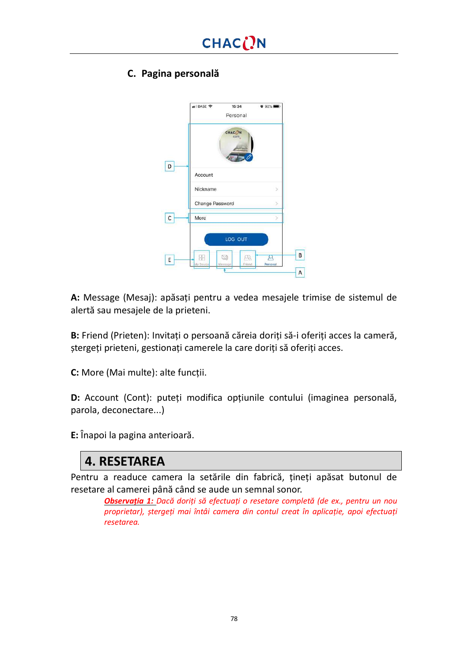### **C. Pagina personală**



**A:** Message (Mesaj): apăsați pentru a vedea mesajele trimise de sistemul de alertă sau mesajele de la prieteni.

**B:** Friend (Prieten): Invitați o persoană căreia doriți să-i oferiți acces la cameră, ștergeți prieteni, gestionați camerele la care doriți să oferiți acces.

**C:** More (Mai multe): alte funcții.

**D:** Account (Cont): puteți modifica opțiunile contului (imaginea personală, parola, deconectare...)

**E:** Înapoi la pagina anterioară.

## **4. RESETAREA**

Pentru a readuce camera la setările din fabrică, țineți apăsat butonul de resetare al camerei până când se aude un semnal sonor.

> *Observația 1: Dacă doriți să efectuați o resetare completă (de ex., pentru un nou proprietar), ștergeți mai întâi camera din contul creat în aplicație, apoi efectuați resetarea.*